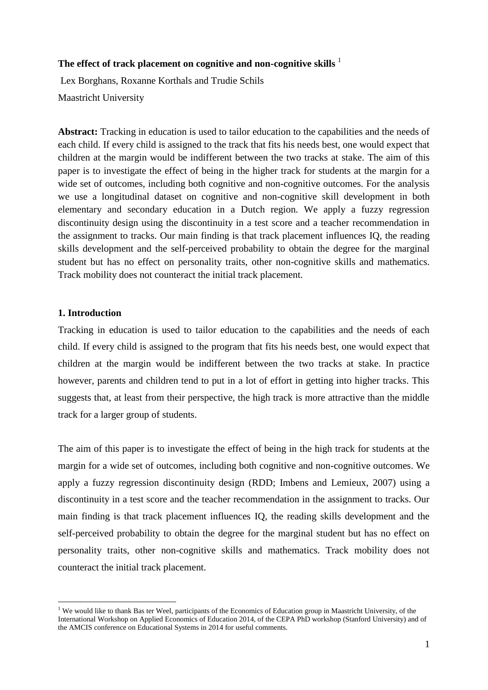#### **The effect of track placement on cognitive and non-cognitive skills** <sup>1</sup>

Lex Borghans, Roxanne Korthals and Trudie Schils Maastricht University

**Abstract:** Tracking in education is used to tailor education to the capabilities and the needs of each child. If every child is assigned to the track that fits his needs best, one would expect that children at the margin would be indifferent between the two tracks at stake. The aim of this paper is to investigate the effect of being in the higher track for students at the margin for a wide set of outcomes, including both cognitive and non-cognitive outcomes. For the analysis we use a longitudinal dataset on cognitive and non-cognitive skill development in both elementary and secondary education in a Dutch region. We apply a fuzzy regression discontinuity design using the discontinuity in a test score and a teacher recommendation in the assignment to tracks. Our main finding is that track placement influences IQ, the reading skills development and the self-perceived probability to obtain the degree for the marginal student but has no effect on personality traits, other non-cognitive skills and mathematics. Track mobility does not counteract the initial track placement.

#### **1. Introduction**

Tracking in education is used to tailor education to the capabilities and the needs of each child. If every child is assigned to the program that fits his needs best, one would expect that children at the margin would be indifferent between the two tracks at stake. In practice however, parents and children tend to put in a lot of effort in getting into higher tracks. This suggests that, at least from their perspective, the high track is more attractive than the middle track for a larger group of students.

The aim of this paper is to investigate the effect of being in the high track for students at the margin for a wide set of outcomes, including both cognitive and non-cognitive outcomes. We apply a fuzzy regression discontinuity design (RDD; Imbens and Lemieux, 2007) using a discontinuity in a test score and the teacher recommendation in the assignment to tracks. Our main finding is that track placement influences IQ, the reading skills development and the self-perceived probability to obtain the degree for the marginal student but has no effect on personality traits, other non-cognitive skills and mathematics. Track mobility does not counteract the initial track placement.

**<sup>.</sup>** <sup>1</sup> We would like to thank Bas ter Weel, participants of the Economics of Education group in Maastricht University, of the International Workshop on Applied Economics of Education 2014, of the CEPA PhD workshop (Stanford University) and of the AMCIS conference on Educational Systems in 2014 for useful comments.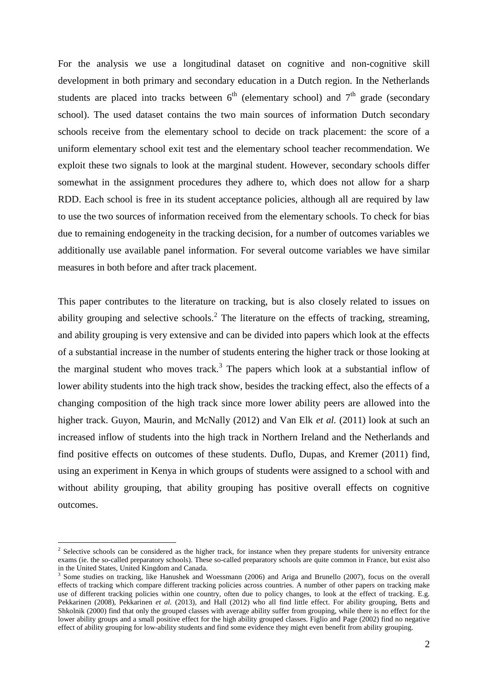For the analysis we use a longitudinal dataset on cognitive and non-cognitive skill development in both primary and secondary education in a Dutch region. In the Netherlands students are placed into tracks between  $6<sup>th</sup>$  (elementary school) and  $7<sup>th</sup>$  grade (secondary school). The used dataset contains the two main sources of information Dutch secondary schools receive from the elementary school to decide on track placement: the score of a uniform elementary school exit test and the elementary school teacher recommendation. We exploit these two signals to look at the marginal student. However, secondary schools differ somewhat in the assignment procedures they adhere to, which does not allow for a sharp RDD. Each school is free in its student acceptance policies, although all are required by law to use the two sources of information received from the elementary schools. To check for bias due to remaining endogeneity in the tracking decision, for a number of outcomes variables we additionally use available panel information. For several outcome variables we have similar measures in both before and after track placement.

This paper contributes to the literature on tracking, but is also closely related to issues on ability grouping and selective schools.<sup>2</sup> The literature on the effects of tracking, streaming, and ability grouping is very extensive and can be divided into papers which look at the effects of a substantial increase in the number of students entering the higher track or those looking at the marginal student who moves track.<sup>3</sup> The papers which look at a substantial inflow of lower ability students into the high track show, besides the tracking effect, also the effects of a changing composition of the high track since more lower ability peers are allowed into the higher track. Guyon, Maurin, and McNally (2012) and Van Elk *et al.* (2011) look at such an increased inflow of students into the high track in Northern Ireland and the Netherlands and find positive effects on outcomes of these students. Duflo, Dupas, and Kremer (2011) find, using an experiment in Kenya in which groups of students were assigned to a school with and without ability grouping, that ability grouping has positive overall effects on cognitive outcomes.

1

<sup>&</sup>lt;sup>2</sup> Selective schools can be considered as the higher track, for instance when they prepare students for university entrance exams (ie. the so-called preparatory schools). These so-called preparatory schools are quite common in France, but exist also in the United States, United Kingdom and Canada.

<sup>&</sup>lt;sup>3</sup> Some studies on tracking, like Hanushek and Woessmann (2006) and Ariga and Brunello (2007), focus on the overall effects of tracking which compare different tracking policies across countries. A number of other papers on tracking make use of different tracking policies within one country, often due to policy changes, to look at the effect of tracking. E.g. Pekkarinen (2008), Pekkarinen *et al.* (2013), and Hall (2012) who all find little effect. For ability grouping, Betts and Shkolnik (2000) find that only the grouped classes with average ability suffer from grouping, while there is no effect for the lower ability groups and a small positive effect for the high ability grouped classes. Figlio and Page (2002) find no negative effect of ability grouping for low-ability students and find some evidence they might even benefit from ability grouping.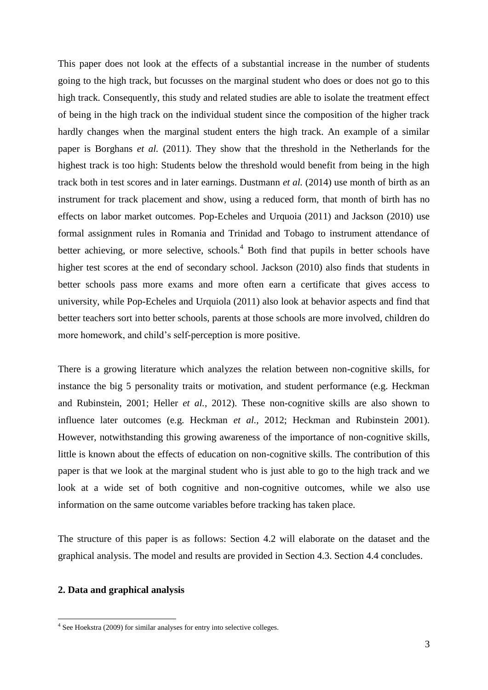This paper does not look at the effects of a substantial increase in the number of students going to the high track, but focusses on the marginal student who does or does not go to this high track. Consequently, this study and related studies are able to isolate the treatment effect of being in the high track on the individual student since the composition of the higher track hardly changes when the marginal student enters the high track. An example of a similar paper is Borghans *et al.* (2011). They show that the threshold in the Netherlands for the highest track is too high: Students below the threshold would benefit from being in the high track both in test scores and in later earnings. Dustmann *et al.* (2014) use month of birth as an instrument for track placement and show, using a reduced form, that month of birth has no effects on labor market outcomes. Pop-Echeles and Urquoia (2011) and Jackson (2010) use formal assignment rules in Romania and Trinidad and Tobago to instrument attendance of better achieving, or more selective, schools.<sup>4</sup> Both find that pupils in better schools have higher test scores at the end of secondary school. Jackson (2010) also finds that students in better schools pass more exams and more often earn a certificate that gives access to university, while Pop-Echeles and Urquiola (2011) also look at behavior aspects and find that better teachers sort into better schools, parents at those schools are more involved, children do more homework, and child's self-perception is more positive.

There is a growing literature which analyzes the relation between non-cognitive skills, for instance the big 5 personality traits or motivation, and student performance (e.g. Heckman and Rubinstein, 2001; Heller *et al.*, 2012). These non-cognitive skills are also shown to influence later outcomes (e.g. Heckman *et al.*, 2012; Heckman and Rubinstein 2001). However, notwithstanding this growing awareness of the importance of non-cognitive skills, little is known about the effects of education on non-cognitive skills. The contribution of this paper is that we look at the marginal student who is just able to go to the high track and we look at a wide set of both cognitive and non-cognitive outcomes, while we also use information on the same outcome variables before tracking has taken place.

The structure of this paper is as follows: Section 4.2 will elaborate on the dataset and the graphical analysis. The model and results are provided in Section 4.3. Section 4.4 concludes.

#### **2. Data and graphical analysis**

<sup>&</sup>lt;sup>4</sup> See Hoekstra (2009) for similar analyses for entry into selective colleges.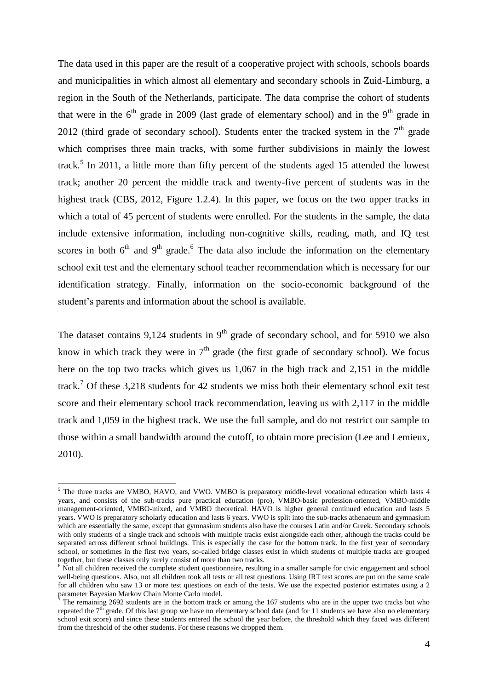The data used in this paper are the result of a cooperative project with schools, schools boards and municipalities in which almost all elementary and secondary schools in Zuid-Limburg, a region in the South of the Netherlands, participate. The data comprise the cohort of students that were in the  $6<sup>th</sup>$  grade in 2009 (last grade of elementary school) and in the 9<sup>th</sup> grade in 2012 (third grade of secondary school). Students enter the tracked system in the  $7<sup>th</sup>$  grade which comprises three main tracks, with some further subdivisions in mainly the lowest track.<sup>5</sup> In 2011, a little more than fifty percent of the students aged 15 attended the lowest track; another 20 percent the middle track and twenty-five percent of students was in the highest track (CBS, 2012, Figure 1.2.4). In this paper, we focus on the two upper tracks in which a total of 45 percent of students were enrolled. For the students in the sample, the data include extensive information, including non-cognitive skills, reading, math, and IQ test scores in both  $6<sup>th</sup>$  and  $9<sup>th</sup>$  grade.<sup>6</sup> The data also include the information on the elementary school exit test and the elementary school teacher recommendation which is necessary for our identification strategy. Finally, information on the socio-economic background of the student's parents and information about the school is available.

The dataset contains 9,124 students in  $9<sup>th</sup>$  grade of secondary school, and for 5910 we also know in which track they were in  $7<sup>th</sup>$  grade (the first grade of secondary school). We focus here on the top two tracks which gives us 1,067 in the high track and 2,151 in the middle track.<sup>7</sup> Of these 3,218 students for 42 students we miss both their elementary school exit test score and their elementary school track recommendation, leaving us with 2,117 in the middle track and 1,059 in the highest track. We use the full sample, and do not restrict our sample to those within a small bandwidth around the cutoff, to obtain more precision (Lee and Lemieux, 2010).

<sup>&</sup>lt;sup>5</sup> The three tracks are VMBO, HAVO, and VWO. VMBO is preparatory middle-level vocational education which lasts 4 years, and consists of the sub-tracks pure practical education (pro), VMBO-basic profession-oriented, VMBO-middle management-oriented, VMBO-mixed, and VMBO theoretical. HAVO is higher general continued education and lasts 5 years. VWO is preparatory scholarly education and lasts 6 years. VWO is split into the sub-tracks athenaeum and gymnasium which are essentially the same, except that gymnasium students also have the courses Latin and/or Greek. Secondary schools with only students of a single track and schools with multiple tracks exist alongside each other, although the tracks could be separated across different school buildings. This is especially the case for the bottom track. In the first year of secondary school, or sometimes in the first two years, so-called bridge classes exist in which students of multiple tracks are grouped together, but these classes only rarely consist of more than two tracks.

<sup>&</sup>lt;sup>6</sup> Not all children received the complete student questionnaire, resulting in a smaller sample for civic engagement and school well-being questions. Also, not all children took all tests or all test questions. Using IRT test scores are put on the same scale for all children who saw 13 or more test questions on each of the tests. We use the expected posterior estimates using a 2 parameter Bayesian Markov Chain Monte Carlo model.

 $^7$  The remaining 2692 students are in the bottom track or among the 167 students who are in the upper two tracks but who repeated the  $7<sup>th</sup>$  grade. Of this last group we have no elementary school data (and for 11 students we have also no elementary school exit score) and since these students entered the school the year before, the threshold which they faced was different from the threshold of the other students. For these reasons we dropped them.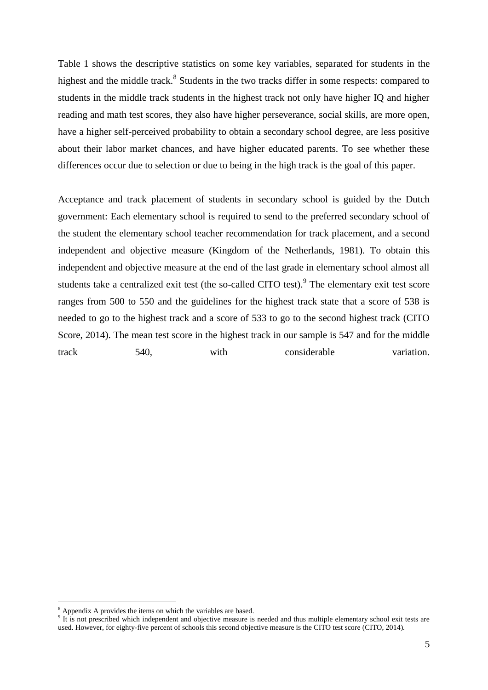Table 1 shows the descriptive statistics on some key variables, separated for students in the highest and the middle track.<sup>8</sup> Students in the two tracks differ in some respects: compared to students in the middle track students in the highest track not only have higher IQ and higher reading and math test scores, they also have higher perseverance, social skills, are more open, have a higher self-perceived probability to obtain a secondary school degree, are less positive about their labor market chances, and have higher educated parents. To see whether these differences occur due to selection or due to being in the high track is the goal of this paper.

Acceptance and track placement of students in secondary school is guided by the Dutch government: Each elementary school is required to send to the preferred secondary school of the student the elementary school teacher recommendation for track placement, and a second independent and objective measure (Kingdom of the Netherlands, 1981). To obtain this independent and objective measure at the end of the last grade in elementary school almost all students take a centralized exit test (the so-called CITO test).<sup>9</sup> The elementary exit test score ranges from 500 to 550 and the guidelines for the highest track state that a score of 538 is needed to go to the highest track and a score of 533 to go to the second highest track (CITO Score, 2014). The mean test score in the highest track in our sample is 547 and for the middle track 540, with considerable variation.

 $8$  Appendix A provides the items on which the variables are based.

 $9$  It is not prescribed which independent and objective measure is needed and thus multiple elementary school exit tests are used. However, for eighty-five percent of schools this second objective measure is the CITO test score (CITO, 2014).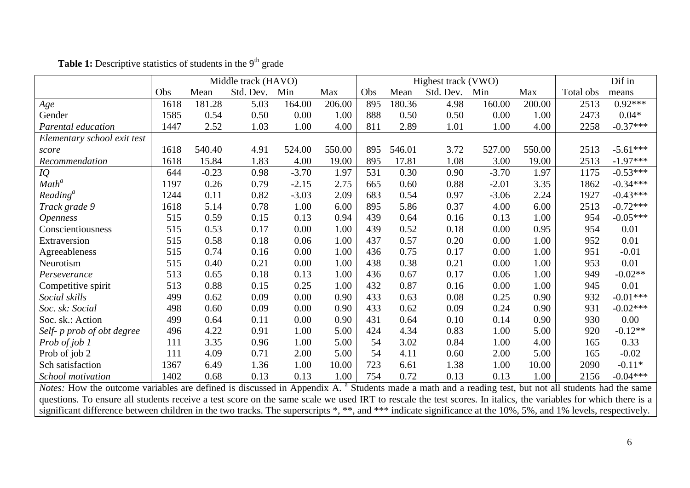|                                                                                                                                                                  |      |         | Middle track (HAVO) |         |        | Highest track (VWO) |        |           |         |        |           | Dif in     |
|------------------------------------------------------------------------------------------------------------------------------------------------------------------|------|---------|---------------------|---------|--------|---------------------|--------|-----------|---------|--------|-----------|------------|
|                                                                                                                                                                  | Obs  | Mean    | Std. Dev.           | Min     | Max    | Obs                 | Mean   | Std. Dev. | Min     | Max    | Total obs | means      |
| Age                                                                                                                                                              | 1618 | 181.28  | 5.03                | 164.00  | 206.00 | 895                 | 180.36 | 4.98      | 160.00  | 200.00 | 2513      | $0.92***$  |
| Gender                                                                                                                                                           | 1585 | 0.54    | 0.50                | 0.00    | 1.00   | 888                 | 0.50   | 0.50      | 0.00    | 1.00   | 2473      | $0.04*$    |
| Parental education                                                                                                                                               | 1447 | 2.52    | 1.03                | 1.00    | 4.00   | 811                 | 2.89   | 1.01      | 1.00    | 4.00   | 2258      | $-0.37***$ |
| Elementary school exit test                                                                                                                                      |      |         |                     |         |        |                     |        |           |         |        |           |            |
| score                                                                                                                                                            | 1618 | 540.40  | 4.91                | 524.00  | 550.00 | 895                 | 546.01 | 3.72      | 527.00  | 550.00 | 2513      | $-5.61***$ |
| Recommendation                                                                                                                                                   | 1618 | 15.84   | 1.83                | 4.00    | 19.00  | 895                 | 17.81  | 1.08      | 3.00    | 19.00  | 2513      | $-1.97***$ |
| IQ                                                                                                                                                               | 644  | $-0.23$ | 0.98                | $-3.70$ | 1.97   | 531                 | 0.30   | 0.90      | $-3.70$ | 1.97   | 1175      | $-0.53***$ |
| Math <sup>a</sup>                                                                                                                                                | 1197 | 0.26    | 0.79                | $-2.15$ | 2.75   | 665                 | 0.60   | 0.88      | $-2.01$ | 3.35   | 1862      | $-0.34***$ |
| Reading <sup>a</sup>                                                                                                                                             | 1244 | 0.11    | 0.82                | $-3.03$ | 2.09   | 683                 | 0.54   | 0.97      | $-3.06$ | 2.24   | 1927      | $-0.43***$ |
| Track grade 9                                                                                                                                                    | 1618 | 5.14    | 0.78                | 1.00    | 6.00   | 895                 | 5.86   | 0.37      | 4.00    | 6.00   | 2513      | $-0.72***$ |
| <i><b>Openness</b></i>                                                                                                                                           | 515  | 0.59    | 0.15                | 0.13    | 0.94   | 439                 | 0.64   | 0.16      | 0.13    | 1.00   | 954       | $-0.05***$ |
| Conscientiousness                                                                                                                                                | 515  | 0.53    | 0.17                | 0.00    | 1.00   | 439                 | 0.52   | 0.18      | 0.00    | 0.95   | 954       | 0.01       |
| Extraversion                                                                                                                                                     | 515  | 0.58    | 0.18                | 0.06    | 1.00   | 437                 | 0.57   | 0.20      | 0.00    | 1.00   | 952       | 0.01       |
| Agreeableness                                                                                                                                                    | 515  | 0.74    | 0.16                | 0.00    | 1.00   | 436                 | 0.75   | 0.17      | 0.00    | 1.00   | 951       | $-0.01$    |
| Neurotism                                                                                                                                                        | 515  | 0.40    | 0.21                | 0.00    | 1.00   | 438                 | 0.38   | 0.21      | 0.00    | 1.00   | 953       | 0.01       |
| Perseverance                                                                                                                                                     | 513  | 0.65    | 0.18                | 0.13    | 1.00   | 436                 | 0.67   | 0.17      | 0.06    | 1.00   | 949       | $-0.02**$  |
| Competitive spirit                                                                                                                                               | 513  | 0.88    | 0.15                | 0.25    | 1.00   | 432                 | 0.87   | 0.16      | 0.00    | 1.00   | 945       | 0.01       |
| Social skills                                                                                                                                                    | 499  | 0.62    | 0.09                | 0.00    | 0.90   | 433                 | 0.63   | 0.08      | 0.25    | 0.90   | 932       | $-0.01***$ |
| Soc. sk: Social                                                                                                                                                  | 498  | 0.60    | 0.09                | 0.00    | 0.90   | 433                 | 0.62   | 0.09      | 0.24    | 0.90   | 931       | $-0.02***$ |
| Soc. sk.: Action                                                                                                                                                 | 499  | 0.64    | 0.11                | 0.00    | 0.90   | 431                 | 0.64   | 0.10      | 0.14    | 0.90   | 930       | 0.00       |
| Self- p prob of obt degree                                                                                                                                       | 496  | 4.22    | 0.91                | 1.00    | 5.00   | 424                 | 4.34   | 0.83      | 1.00    | 5.00   | 920       | $-0.12**$  |
| Prob of job 1                                                                                                                                                    | 111  | 3.35    | 0.96                | 1.00    | 5.00   | 54                  | 3.02   | 0.84      | 1.00    | 4.00   | 165       | 0.33       |
| Prob of job 2                                                                                                                                                    | 111  | 4.09    | 0.71                | 2.00    | 5.00   | 54                  | 4.11   | 0.60      | 2.00    | 5.00   | 165       | $-0.02$    |
| Sch satisfaction                                                                                                                                                 | 1367 | 6.49    | 1.36                | 1.00    | 10.00  | 723                 | 6.61   | 1.38      | 1.00    | 10.00  | 2090      | $-0.11*$   |
| School motivation                                                                                                                                                | 1402 | 0.68    | 0.13                | 0.13    | 1.00   | 754                 | 0.72   | 0.13      | 0.13    | 1.00   | 2156      | $-0.04***$ |
| Notes: How the outcome variables are defined is discussed in Appendix A. <sup>a</sup> Students made a math and a reading test, but not all students had the same |      |         |                     |         |        |                     |        |           |         |        |           |            |
| questions. To ensure all students receive a test score on the same scale we used IRT to rescale the test scores. In italics, the variables for which there is a  |      |         |                     |         |        |                     |        |           |         |        |           |            |

significant difference between children in the two tracks. The superscripts \*, \*\*, and \*\*\* indicate significance at the 10%, 5%, and 1% levels, respectively.

# **Table 1:** Descriptive statistics of students in the 9<sup>th</sup> grade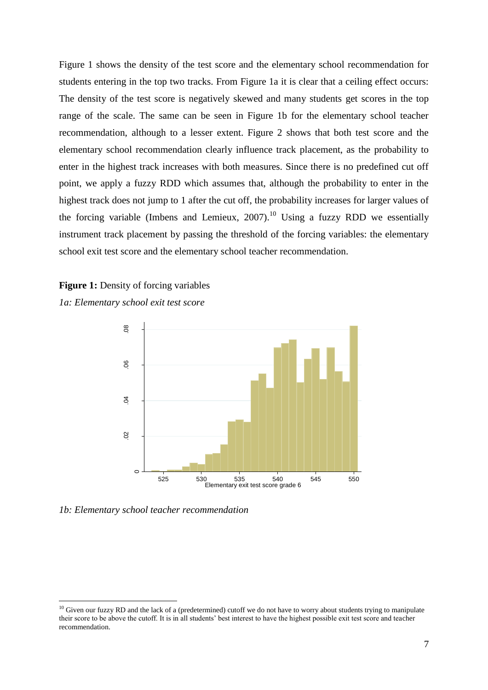Figure 1 shows the density of the test score and the elementary school recommendation for students entering in the top two tracks. From Figure 1a it is clear that a ceiling effect occurs: The density of the test score is negatively skewed and many students get scores in the top range of the scale. The same can be seen in Figure 1b for the elementary school teacher recommendation, although to a lesser extent. Figure 2 shows that both test score and the elementary school recommendation clearly influence track placement, as the probability to enter in the highest track increases with both measures. Since there is no predefined cut off point, we apply a fuzzy RDD which assumes that, although the probability to enter in the highest track does not jump to 1 after the cut off, the probability increases for larger values of the forcing variable (Imbens and Lemieux, 2007).<sup>10</sup> Using a fuzzy RDD we essentially instrument track placement by passing the threshold of the forcing variables: the elementary school exit test score and the elementary school teacher recommendation.

### **Figure 1:** Density of forcing variables





*1b: Elementary school teacher recommendation*

 $\overline{a}$ 

 $10$  Given our fuzzy RD and the lack of a (predetermined) cutoff we do not have to worry about students trying to manipulate their score to be above the cutoff. It is in all students' best interest to have the highest possible exit test score and teacher recommendation.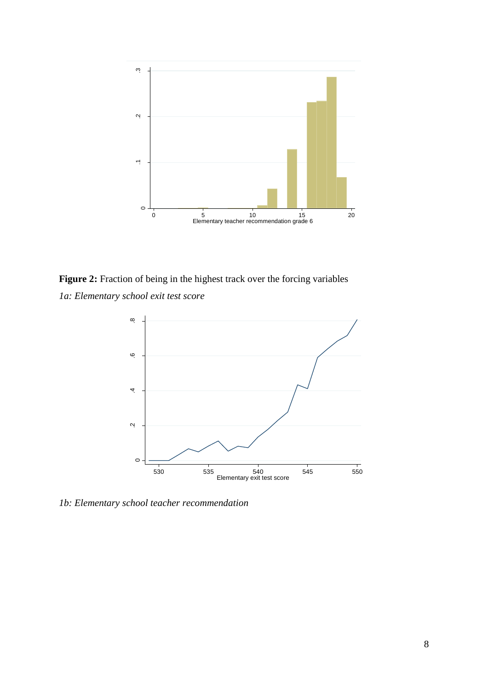

**Figure 2:** Fraction of being in the highest track over the forcing variables *1a: Elementary school exit test score*



*1b: Elementary school teacher recommendation*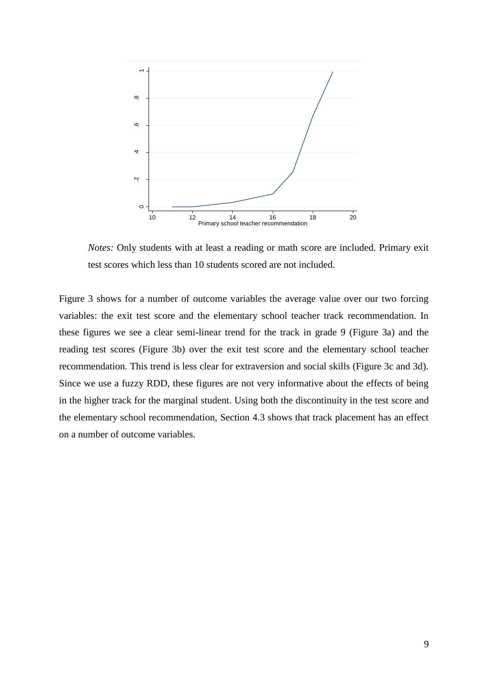

*Notes:* Only students with at least a reading or math score are included. Primary exit test scores which less than 10 students scored are not included.

Figure 3 shows for a number of outcome variables the average value over our two forcing variables: the exit test score and the elementary school teacher track recommendation. In these figures we see a clear semi-linear trend for the track in grade 9 (Figure 3a) and the reading test scores (Figure 3b) over the exit test score and the elementary school teacher recommendation. This trend is less clear for extraversion and social skills (Figure 3c and 3d). Since we use a fuzzy RDD, these figures are not very informative about the effects of being in the higher track for the marginal student. Using both the discontinuity in the test score and the elementary school recommendation, Section 4.3 shows that track placement has an effect on a number of outcome variables.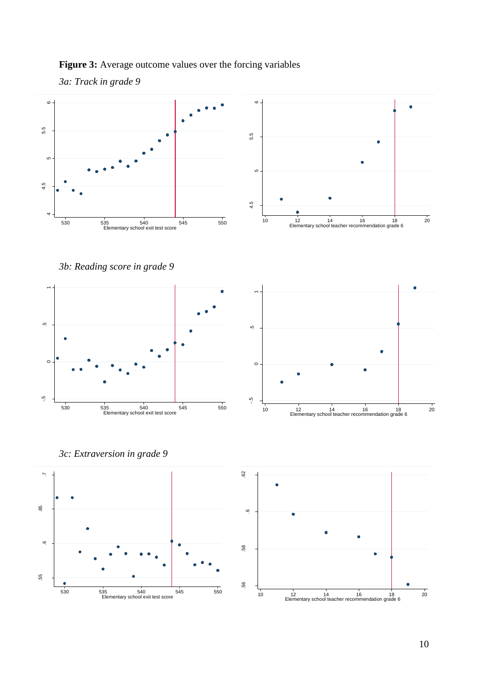### **Figure 3:** Average outcome values over the forcing variables





*3b: Reading score in grade 9*





*3c: Extraversion in grade 9*



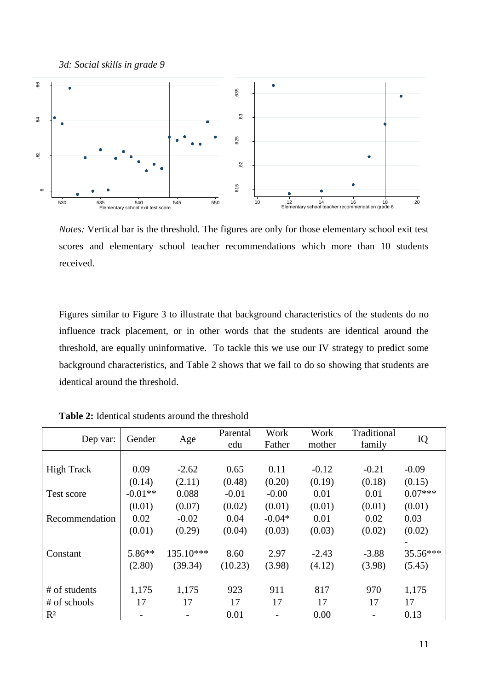*3d: Social skills in grade 9*



*Notes:* Vertical bar is the threshold. The figures are only for those elementary school exit test scores and elementary school teacher recommendations which more than 10 students received.

Figures similar to Figure 3 to illustrate that background characteristics of the students do no influence track placement, or in other words that the students are identical around the threshold, are equally uninformative. To tackle this we use our IV strategy to predict some background characteristics, and Table 2 shows that we fail to do so showing that students are identical around the threshold.

| Dep var:          | Gender                   | Age       | Parental<br>edu | Work<br>Father | Work<br>mother | Traditional<br>family    | IQ        |
|-------------------|--------------------------|-----------|-----------------|----------------|----------------|--------------------------|-----------|
|                   |                          |           |                 |                |                |                          |           |
| <b>High Track</b> | 0.09                     | $-2.62$   | 0.65            | 0.11           | $-0.12$        | $-0.21$                  | $-0.09$   |
|                   | (0.14)                   | (2.11)    | (0.48)          | (0.20)         | (0.19)         | (0.18)                   | (0.15)    |
| Test score        | $-0.01**$                | 0.088     | $-0.01$         | $-0.00$        | 0.01           | 0.01                     | $0.07***$ |
|                   | (0.01)                   | (0.07)    | (0.02)          | (0.01)         | (0.01)         | (0.01)                   | (0.01)    |
| Recommendation    | 0.02                     | $-0.02$   | 0.04            | $-0.04*$       | 0.01           | 0.02                     | 0.03      |
|                   | (0.01)                   | (0.29)    | (0.04)          | (0.03)         | (0.03)         | (0.02)                   | (0.02)    |
|                   |                          |           |                 |                |                |                          |           |
| Constant          | $5.86**$                 | 135.10*** | 8.60            | 2.97           | $-2.43$        | $-3.88$                  | 35.56***  |
|                   | (2.80)                   | (39.34)   | (10.23)         | (3.98)         | (4.12)         | (3.98)                   | (5.45)    |
|                   |                          |           |                 |                |                |                          |           |
| # of students     | 1,175                    | 1,175     | 923             | 911            | 817            | 970                      | 1,175     |
| # of schools      | 17                       | 17        | 17              | 17             | 17             | 17                       | 17        |
| $R^2$             | $\overline{\phantom{a}}$ |           | 0.01            | $\overline{a}$ | 0.00           | $\overline{\phantom{0}}$ | 0.13      |

**Table 2:** Identical students around the threshold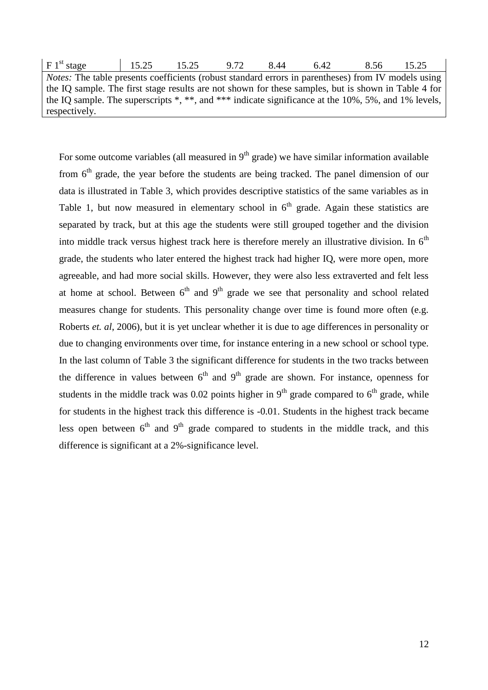| F1 <sup>st</sup> stage                                                                                     | 15.25 | 15.25 | 9.72 | 8.44 | 6.42 | 8.56 | 15.25 |  |  |
|------------------------------------------------------------------------------------------------------------|-------|-------|------|------|------|------|-------|--|--|
| <i>Notes:</i> The table presents coefficients (robust standard errors in parentheses) from IV models using |       |       |      |      |      |      |       |  |  |
| the IQ sample. The first stage results are not shown for these samples, but is shown in Table 4 for        |       |       |      |      |      |      |       |  |  |
| the IQ sample. The superscripts $*, **$ , and $***$ indicate significance at the 10%, 5%, and 1% levels,   |       |       |      |      |      |      |       |  |  |
| respectively.                                                                                              |       |       |      |      |      |      |       |  |  |

For some outcome variables (all measured in  $9<sup>th</sup>$  grade) we have similar information available from  $6<sup>th</sup>$  grade, the year before the students are being tracked. The panel dimension of our data is illustrated in Table 3, which provides descriptive statistics of the same variables as in Table 1, but now measured in elementary school in  $6<sup>th</sup>$  grade. Again these statistics are separated by track, but at this age the students were still grouped together and the division into middle track versus highest track here is therefore merely an illustrative division. In  $6<sup>th</sup>$ grade, the students who later entered the highest track had higher IQ, were more open, more agreeable, and had more social skills. However, they were also less extraverted and felt less at home at school. Between  $6<sup>th</sup>$  and  $9<sup>th</sup>$  grade we see that personality and school related measures change for students. This personality change over time is found more often (e.g. Roberts *et. al*, 2006), but it is yet unclear whether it is due to age differences in personality or due to changing environments over time, for instance entering in a new school or school type. In the last column of Table 3 the significant difference for students in the two tracks between the difference in values between  $6<sup>th</sup>$  and  $9<sup>th</sup>$  grade are shown. For instance, openness for students in the middle track was 0.02 points higher in  $9<sup>th</sup>$  grade compared to  $6<sup>th</sup>$  grade, while for students in the highest track this difference is -0.01. Students in the highest track became less open between  $6<sup>th</sup>$  and  $9<sup>th</sup>$  grade compared to students in the middle track, and this difference is significant at a 2%-significance level.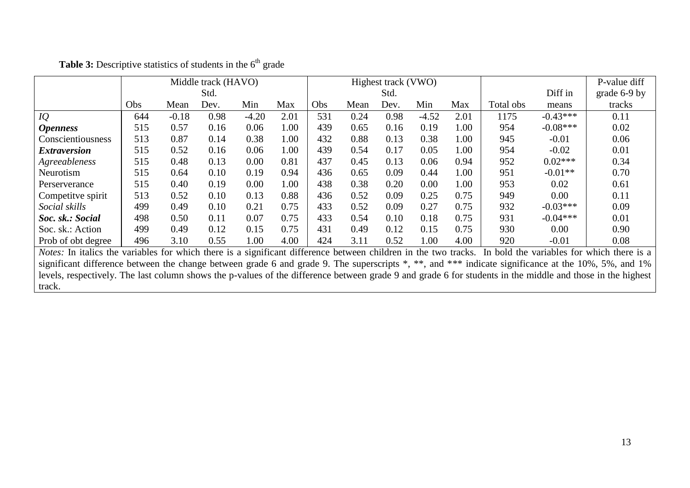|                                                                                                                                                            | Middle track (HAVO)                                                                                                                                        |         |      |         |      |            | Highest track (VWO) |      |         |      |           | P-value diff |              |
|------------------------------------------------------------------------------------------------------------------------------------------------------------|------------------------------------------------------------------------------------------------------------------------------------------------------------|---------|------|---------|------|------------|---------------------|------|---------|------|-----------|--------------|--------------|
|                                                                                                                                                            |                                                                                                                                                            |         | Std. |         |      |            |                     | Std. |         |      |           | Diff in      | grade 6-9 by |
|                                                                                                                                                            | Obs                                                                                                                                                        | Mean    | Dev. | Min     | Max  | <b>Obs</b> | Mean                | Dev. | Min     | Max  | Total obs | means        | tracks       |
| IQ                                                                                                                                                         | 644                                                                                                                                                        | $-0.18$ | 0.98 | $-4.20$ | 2.01 | 531        | 0.24                | 0.98 | $-4.52$ | 2.01 | 1175      | $-0.43***$   | 0.11         |
| <i><b>Openness</b></i>                                                                                                                                     | 515                                                                                                                                                        | 0.57    | 0.16 | 0.06    | 1.00 | 439        | 0.65                | 0.16 | 0.19    | 1.00 | 954       | $-0.08***$   | 0.02         |
| Conscientiousness                                                                                                                                          | 513                                                                                                                                                        | 0.87    | 0.14 | 0.38    | 1.00 | 432        | 0.88                | 0.13 | 0.38    | 1.00 | 945       | $-0.01$      | 0.06         |
| <i><b>Extraversion</b></i>                                                                                                                                 | 515                                                                                                                                                        | 0.52    | 0.16 | 0.06    | 1.00 | 439        | 0.54                | 0.17 | 0.05    | 1.00 | 954       | $-0.02$      | 0.01         |
| Agreeableness                                                                                                                                              | 515                                                                                                                                                        | 0.48    | 0.13 | 0.00    | 0.81 | 437        | 0.45                | 0.13 | 0.06    | 0.94 | 952       | $0.02***$    | 0.34         |
| Neurotism                                                                                                                                                  | 515                                                                                                                                                        | 0.64    | 0.10 | 0.19    | 0.94 | 436        | 0.65                | 0.09 | 0.44    | 1.00 | 951       | $-0.01**$    | 0.70         |
| Perserverance                                                                                                                                              | 515                                                                                                                                                        | 0.40    | 0.19 | 0.00    | 1.00 | 438        | 0.38                | 0.20 | 0.00    | 1.00 | 953       | 0.02         | 0.61         |
| Competitve spirit                                                                                                                                          | 513                                                                                                                                                        | 0.52    | 0.10 | 0.13    | 0.88 | 436        | 0.52                | 0.09 | 0.25    | 0.75 | 949       | 0.00         | 0.11         |
| Social skills                                                                                                                                              | 499                                                                                                                                                        | 0.49    | 0.10 | 0.21    | 0.75 | 433        | 0.52                | 0.09 | 0.27    | 0.75 | 932       | $-0.03***$   | 0.09         |
| Soc. sk.: Social                                                                                                                                           | 498                                                                                                                                                        | 0.50    | 0.11 | 0.07    | 0.75 | 433        | 0.54                | 0.10 | 0.18    | 0.75 | 931       | $-0.04***$   | 0.01         |
| Soc. sk.: Action                                                                                                                                           | 499                                                                                                                                                        | 0.49    | 0.12 | 0.15    | 0.75 | 431        | 0.49                | 0.12 | 0.15    | 0.75 | 930       | 0.00         | 0.90         |
| Prob of obt degree                                                                                                                                         | 496                                                                                                                                                        | 3.10    | 0.55 | 1.00    | 4.00 | 424        | 3.11                | 0.52 | 1.00    | 4.00 | 920       | $-0.01$      | 0.08         |
| Notes: In italics the variables for which there is a significant difference between children in the two tracks. In bold the variables for which there is a |                                                                                                                                                            |         |      |         |      |            |                     |      |         |      |           |              |              |
| significant difference between the change between grade 6 and grade 9. The superscripts *, **, and *** indicate significance at the 10%, 5%, and 1%        |                                                                                                                                                            |         |      |         |      |            |                     |      |         |      |           |              |              |
|                                                                                                                                                            | levels, respectively. The last column shows the p-values of the difference between grade 9 and grade 6 for students in the middle and those in the highest |         |      |         |      |            |                     |      |         |      |           |              |              |
| track.                                                                                                                                                     |                                                                                                                                                            |         |      |         |      |            |                     |      |         |      |           |              |              |

Table 3: Descriptive statistics of students in the 6<sup>th</sup> grade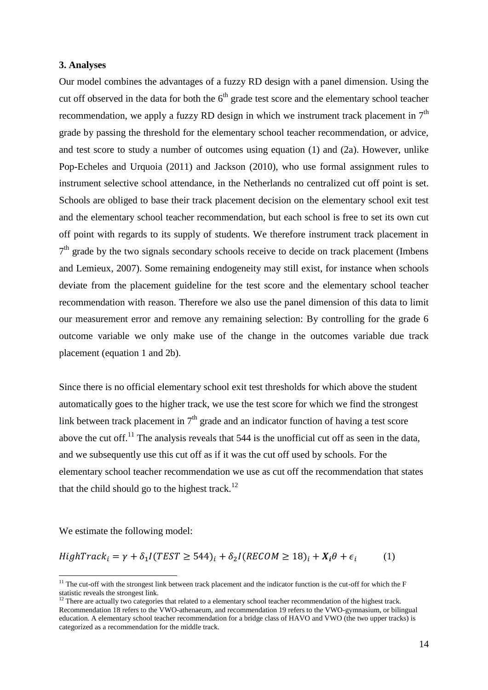#### **3. Analyses**

Our model combines the advantages of a fuzzy RD design with a panel dimension. Using the cut off observed in the data for both the  $6<sup>th</sup>$  grade test score and the elementary school teacher recommendation, we apply a fuzzy RD design in which we instrument track placement in  $7<sup>th</sup>$ grade by passing the threshold for the elementary school teacher recommendation, or advice, and test score to study a number of outcomes using equation (1) and (2a). However, unlike Pop-Echeles and Urquoia (2011) and Jackson (2010), who use formal assignment rules to instrument selective school attendance, in the Netherlands no centralized cut off point is set. Schools are obliged to base their track placement decision on the elementary school exit test and the elementary school teacher recommendation, but each school is free to set its own cut off point with regards to its supply of students. We therefore instrument track placement in  $7<sup>th</sup>$  grade by the two signals secondary schools receive to decide on track placement (Imbens and Lemieux, 2007). Some remaining endogeneity may still exist, for instance when schools deviate from the placement guideline for the test score and the elementary school teacher recommendation with reason. Therefore we also use the panel dimension of this data to limit our measurement error and remove any remaining selection: By controlling for the grade 6 outcome variable we only make use of the change in the outcomes variable due track placement (equation 1 and 2b).

Since there is no official elementary school exit test thresholds for which above the student automatically goes to the higher track, we use the test score for which we find the strongest link between track placement in  $7<sup>th</sup>$  grade and an indicator function of having a test score above the cut off.<sup>11</sup> The analysis reveals that  $544$  is the unofficial cut off as seen in the data, and we subsequently use this cut off as if it was the cut off used by schools. For the elementary school teacher recommendation we use as cut off the recommendation that states that the child should go to the highest track.<sup>12</sup>

We estimate the following model:

 $\overline{a}$ 

$$
HighTrack_i = \gamma + \delta_1 I (TEST \ge 544)_i + \delta_2 I (RECOM \ge 18)_i + X_i \theta + \epsilon_i \tag{1}
$$

 $11$  The cut-off with the strongest link between track placement and the indicator function is the cut-off for which the  $F$ statistic reveals the strongest link.

 $12$  There are actually two categories that related to a elementary school teacher recommendation of the highest track. Recommendation 18 refers to the VWO-athenaeum, and recommendation 19 refers to the VWO-gymnasium, or bilingual education. A elementary school teacher recommendation for a bridge class of HAVO and VWO (the two upper tracks) is categorized as a recommendation for the middle track.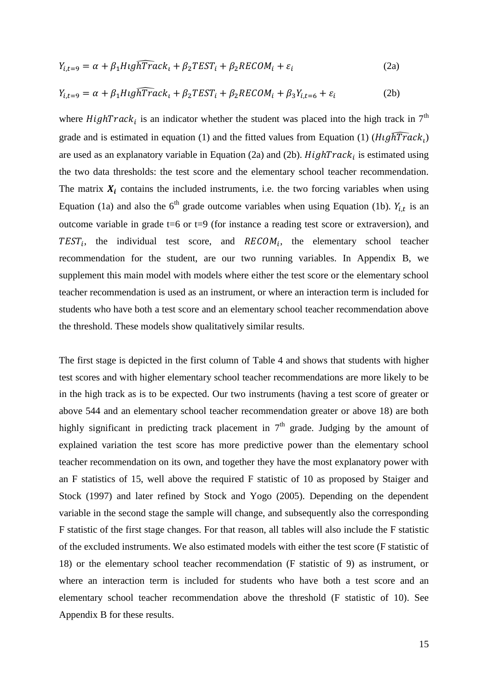$$
Y_{i,t=9} = \alpha + \beta_1 H i g \widehat{hTrack}_t + \beta_2 T E S T_i + \beta_2 R E COM_i + \varepsilon_i
$$
\n(2a)

$$
Y_{i,t=9} = \alpha + \beta_1 H i g \widehat{hTrack}_t + \beta_2 T E S T_i + \beta_2 R E C O M_i + \beta_3 Y_{i,t=6} + \varepsilon_i
$$
 (2b)

where *HighTrack<sub>i</sub>* is an indicator whether the student was placed into the high track in  $7<sup>th</sup>$ grade and is estimated in equation (1) and the fitted values from Equation (1)  $(H \cup \sqrt{hTrack}_l)$ are used as an explanatory variable in Equation (2a) and (2b).  $HighTrack_i$  is estimated using the two data thresholds: the test score and the elementary school teacher recommendation. The matrix  $X_i$  contains the included instruments, i.e. the two forcing variables when using Equation (1a) and also the 6<sup>th</sup> grade outcome variables when using Equation (1b).  $Y_{i,t}$  is an outcome variable in grade  $t=6$  or  $t=9$  (for instance a reading test score or extraversion), and  $TEST_i$ , the individual test score, and  $RECOM_i$ , the elementary school teacher recommendation for the student, are our two running variables. In Appendix B, we supplement this main model with models where either the test score or the elementary school teacher recommendation is used as an instrument, or where an interaction term is included for students who have both a test score and an elementary school teacher recommendation above the threshold. These models show qualitatively similar results.

The first stage is depicted in the first column of Table 4 and shows that students with higher test scores and with higher elementary school teacher recommendations are more likely to be in the high track as is to be expected. Our two instruments (having a test score of greater or above 544 and an elementary school teacher recommendation greater or above 18) are both highly significant in predicting track placement in  $7<sup>th</sup>$  grade. Judging by the amount of explained variation the test score has more predictive power than the elementary school teacher recommendation on its own, and together they have the most explanatory power with an F statistics of 15, well above the required F statistic of 10 as proposed by Staiger and Stock (1997) and later refined by Stock and Yogo (2005). Depending on the dependent variable in the second stage the sample will change, and subsequently also the corresponding F statistic of the first stage changes. For that reason, all tables will also include the F statistic of the excluded instruments. We also estimated models with either the test score (F statistic of 18) or the elementary school teacher recommendation (F statistic of 9) as instrument, or where an interaction term is included for students who have both a test score and an elementary school teacher recommendation above the threshold (F statistic of 10). See Appendix B for these results.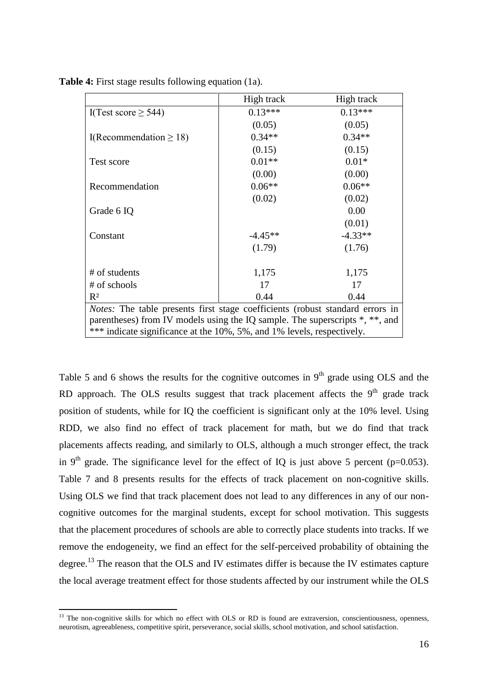|                                                                                                                                                                                                                                         | High track | High track |  |  |  |  |  |
|-----------------------------------------------------------------------------------------------------------------------------------------------------------------------------------------------------------------------------------------|------------|------------|--|--|--|--|--|
| I(Test score $\geq$ 544)                                                                                                                                                                                                                | $0.13***$  | $0.13***$  |  |  |  |  |  |
|                                                                                                                                                                                                                                         | (0.05)     | (0.05)     |  |  |  |  |  |
| I(Recommendation $\geq 18$ )                                                                                                                                                                                                            | $0.34**$   | $0.34**$   |  |  |  |  |  |
|                                                                                                                                                                                                                                         | (0.15)     | (0.15)     |  |  |  |  |  |
| Test score                                                                                                                                                                                                                              | $0.01**$   | $0.01*$    |  |  |  |  |  |
|                                                                                                                                                                                                                                         | (0.00)     | (0.00)     |  |  |  |  |  |
| Recommendation                                                                                                                                                                                                                          | $0.06**$   | $0.06**$   |  |  |  |  |  |
|                                                                                                                                                                                                                                         | (0.02)     | (0.02)     |  |  |  |  |  |
| Grade 6 IQ                                                                                                                                                                                                                              |            | 0.00       |  |  |  |  |  |
|                                                                                                                                                                                                                                         |            | (0.01)     |  |  |  |  |  |
| Constant                                                                                                                                                                                                                                | $-4.45**$  | $-4.33**$  |  |  |  |  |  |
|                                                                                                                                                                                                                                         | (1.79)     | (1.76)     |  |  |  |  |  |
|                                                                                                                                                                                                                                         |            |            |  |  |  |  |  |
| # of students                                                                                                                                                                                                                           | 1,175      | 1,175      |  |  |  |  |  |
| # of schools                                                                                                                                                                                                                            | 17         | 17         |  |  |  |  |  |
| $R^2$                                                                                                                                                                                                                                   | 0.44       | 0.44       |  |  |  |  |  |
| Notes: The table presents first stage coefficients (robust standard errors in<br>parentheses) from IV models using the IQ sample. The superscripts *, **, and<br>*** indicate significance at the 10%, 5%, and 1% levels, respectively. |            |            |  |  |  |  |  |
|                                                                                                                                                                                                                                         |            |            |  |  |  |  |  |

**Table 4:** First stage results following equation (1a).

Table 5 and 6 shows the results for the cognitive outcomes in  $9<sup>th</sup>$  grade using OLS and the RD approach. The OLS results suggest that track placement affects the 9<sup>th</sup> grade track position of students, while for IQ the coefficient is significant only at the 10% level. Using RDD, we also find no effect of track placement for math, but we do find that track placements affects reading, and similarly to OLS, although a much stronger effect, the track in 9<sup>th</sup> grade. The significance level for the effect of IQ is just above 5 percent (p=0.053). Table 7 and 8 presents results for the effects of track placement on non-cognitive skills. Using OLS we find that track placement does not lead to any differences in any of our noncognitive outcomes for the marginal students, except for school motivation. This suggests that the placement procedures of schools are able to correctly place students into tracks. If we remove the endogeneity, we find an effect for the self-perceived probability of obtaining the degree.<sup>13</sup> The reason that the OLS and IV estimates differ is because the IV estimates capture the local average treatment effect for those students affected by our instrument while the OLS

 $13$  The non-cognitive skills for which no effect with OLS or RD is found are extraversion, conscientiousness, openness, neurotism, agreeableness, competitive spirit, perseverance, social skills, school motivation, and school satisfaction.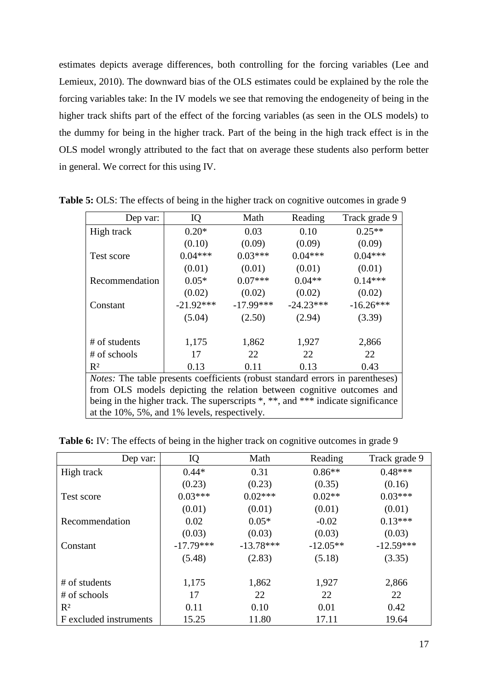estimates depicts average differences, both controlling for the forcing variables (Lee and Lemieux, 2010). The downward bias of the OLS estimates could be explained by the role the forcing variables take: In the IV models we see that removing the endogeneity of being in the higher track shifts part of the effect of the forcing variables (as seen in the OLS models) to the dummy for being in the higher track. Part of the being in the high track effect is in the OLS model wrongly attributed to the fact that on average these students also perform better in general. We correct for this using IV.

| Dep var:                                                                         | IQ                                                                                    | Math        | Reading     | Track grade 9 |  |  |  |  |
|----------------------------------------------------------------------------------|---------------------------------------------------------------------------------------|-------------|-------------|---------------|--|--|--|--|
| High track                                                                       | $0.20*$                                                                               | 0.03        | 0.10        | $0.25**$      |  |  |  |  |
|                                                                                  | (0.10)                                                                                | (0.09)      | (0.09)      | (0.09)        |  |  |  |  |
| Test score                                                                       | $0.04***$                                                                             | $0.03***$   | $0.04***$   | $0.04***$     |  |  |  |  |
|                                                                                  | (0.01)                                                                                | (0.01)      | (0.01)      | (0.01)        |  |  |  |  |
| Recommendation                                                                   | $0.05*$                                                                               | $0.07***$   | $0.04**$    | $0.14***$     |  |  |  |  |
|                                                                                  | (0.02)                                                                                | (0.02)      | (0.02)      | (0.02)        |  |  |  |  |
| Constant                                                                         | $-21.92***$                                                                           | $-17.99***$ | $-24.23***$ | $-16.26***$   |  |  |  |  |
|                                                                                  | (5.04)                                                                                | (2.50)      | (2.94)      | (3.39)        |  |  |  |  |
| # of students                                                                    | 1,175                                                                                 | 1,862       | 1,927       | 2,866         |  |  |  |  |
| # of schools                                                                     | 17                                                                                    | 22          | 22          | 22            |  |  |  |  |
| $R^2$                                                                            | 0.13                                                                                  | 0.11        | 0.13        | 0.43          |  |  |  |  |
|                                                                                  | <i>Notes:</i> The table presents coefficients (robust standard errors in parentheses) |             |             |               |  |  |  |  |
| from OLS models depicting the relation between cognitive outcomes and            |                                                                                       |             |             |               |  |  |  |  |
| being in the higher track. The superscripts *, **, and *** indicate significance |                                                                                       |             |             |               |  |  |  |  |
| at the 10%, 5%, and 1% levels, respectively.                                     |                                                                                       |             |             |               |  |  |  |  |

**Table 5:** OLS: The effects of being in the higher track on cognitive outcomes in grade 9

Table 6: IV: The effects of being in the higher track on cognitive outcomes in grade 9

| Dep var:               | IQ          | Math        | Reading    | Track grade 9 |
|------------------------|-------------|-------------|------------|---------------|
| High track             | $0.44*$     | 0.31        | $0.86**$   | $0.48***$     |
|                        | (0.23)      | (0.23)      | (0.35)     | (0.16)        |
| Test score             | $0.03***$   | $0.02***$   | $0.02**$   | $0.03***$     |
|                        | (0.01)      | (0.01)      | (0.01)     | (0.01)        |
| Recommendation         | 0.02        | $0.05*$     | $-0.02$    | $0.13***$     |
|                        | (0.03)      | (0.03)      | (0.03)     | (0.03)        |
| Constant               | $-17.79***$ | $-13.78***$ | $-12.05**$ | $-12.59***$   |
|                        | (5.48)      | (2.83)      | (5.18)     | (3.35)        |
|                        |             |             |            |               |
| # of students          | 1,175       | 1,862       | 1,927      | 2,866         |
| # of schools           | 17          | 22          | 22         | 22            |
| $R^2$                  | 0.11        | 0.10        | 0.01       | 0.42          |
| F excluded instruments | 15.25       | 11.80       | 17.11      | 19.64         |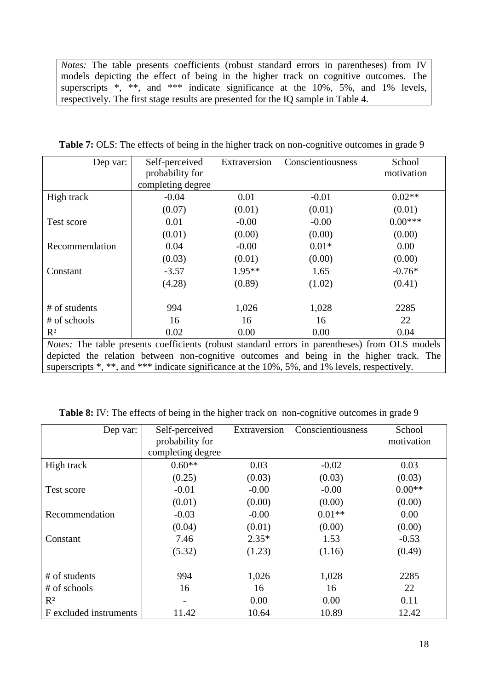*Notes:* The table presents coefficients (robust standard errors in parentheses) from IV models depicting the effect of being in the higher track on cognitive outcomes. The superscripts \*, \*\*, and \*\*\* indicate significance at the  $10\%$ , 5%, and 1% levels, respectively. The first stage results are presented for the IQ sample in Table 4.

| Dep var:                                                                                | Self-perceived<br>probability for<br>completing degree | Extraversion | Conscientiousness                                                                              | School<br>motivation |  |  |  |  |  |
|-----------------------------------------------------------------------------------------|--------------------------------------------------------|--------------|------------------------------------------------------------------------------------------------|----------------------|--|--|--|--|--|
|                                                                                         |                                                        |              |                                                                                                |                      |  |  |  |  |  |
| High track                                                                              | $-0.04$                                                | 0.01         | $-0.01$                                                                                        | $0.02**$             |  |  |  |  |  |
|                                                                                         | (0.07)                                                 | (0.01)       | (0.01)                                                                                         | (0.01)               |  |  |  |  |  |
| Test score                                                                              | 0.01                                                   | $-0.00$      | $-0.00$                                                                                        | $0.00***$            |  |  |  |  |  |
|                                                                                         | (0.01)                                                 | (0.00)       | (0.00)                                                                                         | (0.00)               |  |  |  |  |  |
| Recommendation                                                                          | 0.04                                                   | $-0.00$      | $0.01*$                                                                                        | 0.00                 |  |  |  |  |  |
|                                                                                         | (0.03)                                                 | (0.01)       | (0.00)                                                                                         | (0.00)               |  |  |  |  |  |
| Constant                                                                                | $-3.57$                                                | $1.95**$     | 1.65                                                                                           | $-0.76*$             |  |  |  |  |  |
|                                                                                         | (4.28)                                                 | (0.89)       | (1.02)                                                                                         | (0.41)               |  |  |  |  |  |
| # of students                                                                           | 994                                                    | 1,026        | 1,028                                                                                          | 2285                 |  |  |  |  |  |
| # of schools                                                                            | 16                                                     | 16           | 16                                                                                             | 22                   |  |  |  |  |  |
| $R^2$                                                                                   | 0.02                                                   | 0.00         | 0.00                                                                                           | 0.04                 |  |  |  |  |  |
|                                                                                         |                                                        |              | Notes: The table presents coefficients (robust standard errors in parentheses) from OLS models |                      |  |  |  |  |  |
| depicted the relation between non-cognitive outcomes and being in the higher track. The |                                                        |              |                                                                                                |                      |  |  |  |  |  |
|                                                                                         |                                                        |              | superscripts *, **, and *** indicate significance at the 10%, 5%, and 1% levels, respectively. |                      |  |  |  |  |  |

Table 7: OLS: The effects of being in the higher track on non-cognitive outcomes in grade 9

|  |  |  |  | Table 8: IV: The effects of being in the higher track on non-cognitive outcomes in grade 9 |  |
|--|--|--|--|--------------------------------------------------------------------------------------------|--|
|  |  |  |  |                                                                                            |  |

| Dep var:               | Self-perceived           | Extraversion | Conscientiousness | School     |
|------------------------|--------------------------|--------------|-------------------|------------|
|                        | probability for          |              |                   | motivation |
|                        | completing degree        |              |                   |            |
| High track             | $0.60**$                 | 0.03         | $-0.02$           | 0.03       |
|                        | (0.25)                   | (0.03)       | (0.03)            | (0.03)     |
| Test score             | $-0.01$                  | $-0.00$      | $-0.00$           | $0.00**$   |
|                        | (0.01)                   | (0.00)       | (0.00)            | (0.00)     |
| Recommendation         | $-0.03$                  | $-0.00$      | $0.01**$          | 0.00       |
|                        | (0.04)                   | (0.01)       | (0.00)            | (0.00)     |
| Constant               | 7.46                     | $2.35*$      | 1.53              | $-0.53$    |
|                        | (5.32)                   | (1.23)       | (1.16)            | (0.49)     |
| # of students          | 994                      | 1,026        | 1,028             | 2285       |
| # of schools           | 16                       | 16           | 16                | 22         |
| $R^2$                  | $\overline{\phantom{a}}$ | 0.00         | 0.00              | 0.11       |
| F excluded instruments |                          |              |                   |            |
|                        | 11.42                    | 10.64        | 10.89             | 12.42      |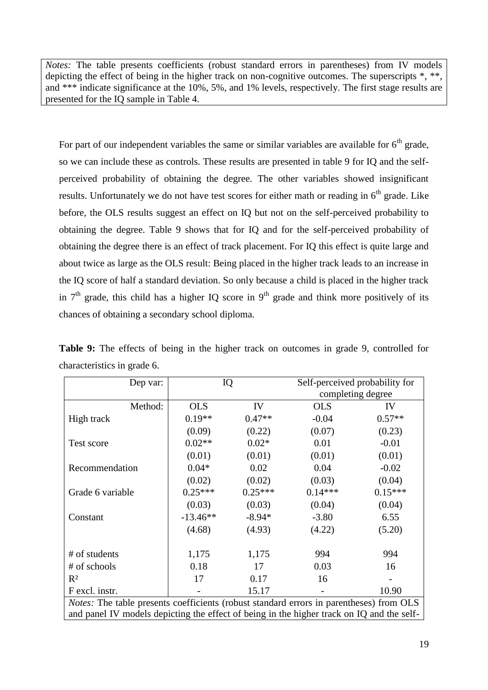*Notes:* The table presents coefficients (robust standard errors in parentheses) from IV models depicting the effect of being in the higher track on non-cognitive outcomes. The superscripts  $*, **$ , and \*\*\* indicate significance at the 10%, 5%, and 1% levels, respectively. The first stage results are presented for the IQ sample in Table 4.

For part of our independent variables the same or similar variables are available for  $6<sup>th</sup>$  grade, so we can include these as controls. These results are presented in table 9 for IQ and the selfperceived probability of obtaining the degree. The other variables showed insignificant results. Unfortunately we do not have test scores for either math or reading in 6<sup>th</sup> grade. Like before, the OLS results suggest an effect on IQ but not on the self-perceived probability to obtaining the degree. Table 9 shows that for IQ and for the self-perceived probability of obtaining the degree there is an effect of track placement. For IQ this effect is quite large and about twice as large as the OLS result: Being placed in the higher track leads to an increase in the IQ score of half a standard deviation. So only because a child is placed in the higher track in  $7<sup>th</sup>$  grade, this child has a higher IQ score in  $9<sup>th</sup>$  grade and think more positively of its chances of obtaining a secondary school diploma.

**Table 9:** The effects of being in the higher track on outcomes in grade 9, controlled for characteristics in grade 6.

| Dep var:                                                                                                                                                                                    | IQ         |           |            | Self-perceived probability for<br>completing degree |  |  |  |
|---------------------------------------------------------------------------------------------------------------------------------------------------------------------------------------------|------------|-----------|------------|-----------------------------------------------------|--|--|--|
| Method:                                                                                                                                                                                     | <b>OLS</b> | IV        | <b>OLS</b> | IV                                                  |  |  |  |
| High track                                                                                                                                                                                  | $0.19**$   | $0.47**$  | $-0.04$    | $0.57**$                                            |  |  |  |
|                                                                                                                                                                                             | (0.09)     | (0.22)    | (0.07)     | (0.23)                                              |  |  |  |
| Test score                                                                                                                                                                                  | $0.02**$   | $0.02*$   | 0.01       | $-0.01$                                             |  |  |  |
|                                                                                                                                                                                             | (0.01)     | (0.01)    | (0.01)     | (0.01)                                              |  |  |  |
| Recommendation                                                                                                                                                                              | $0.04*$    | 0.02      | 0.04       | $-0.02$                                             |  |  |  |
|                                                                                                                                                                                             | (0.02)     | (0.02)    | (0.03)     | (0.04)                                              |  |  |  |
| Grade 6 variable                                                                                                                                                                            | $0.25***$  | $0.25***$ | $0.14***$  | $0.15***$                                           |  |  |  |
|                                                                                                                                                                                             | (0.03)     | (0.03)    | (0.04)     | (0.04)                                              |  |  |  |
| Constant                                                                                                                                                                                    | $-13.46**$ | $-8.94*$  | $-3.80$    | 6.55                                                |  |  |  |
|                                                                                                                                                                                             | (4.68)     | (4.93)    | (4.22)     | (5.20)                                              |  |  |  |
| # of students                                                                                                                                                                               | 1,175      | 1,175     | 994        | 994                                                 |  |  |  |
| # of schools                                                                                                                                                                                | 0.18       | 17        | 0.03       | 16                                                  |  |  |  |
| $R^2$                                                                                                                                                                                       | 17         | 0.17      | 16         |                                                     |  |  |  |
| F excl. instr.                                                                                                                                                                              |            | 15.17     |            | 10.90                                               |  |  |  |
| <i>Notes:</i> The table presents coefficients (robust standard errors in parentheses) from OLS<br>and panel IV models depicting the effect of being in the higher track on IQ and the self- |            |           |            |                                                     |  |  |  |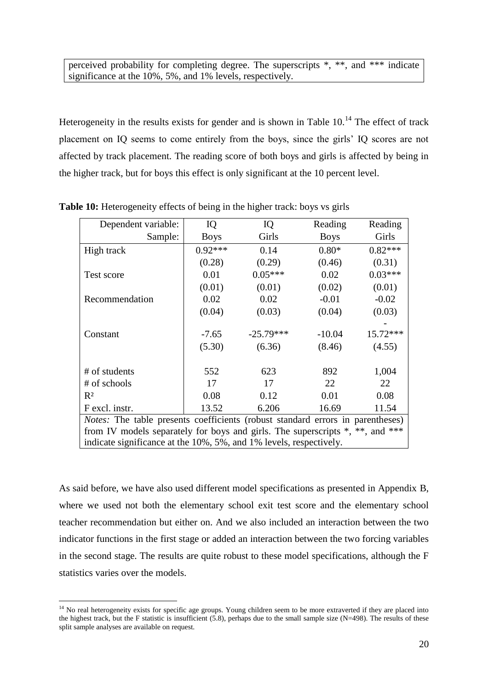perceived probability for completing degree. The superscripts \*, \*\*, and \*\*\* indicate significance at the 10%, 5%, and 1% levels, respectively.

Heterogeneity in the results exists for gender and is shown in Table  $10<sup>14</sup>$ . The effect of track placement on IQ seems to come entirely from the boys, since the girls' IQ scores are not affected by track placement. The reading score of both boys and girls is affected by being in the higher track, but for boys this effect is only significant at the 10 percent level.

| Dependent variable:                                                | IQ                                                                                    | IQ          | Reading     | Reading   |  |  |  |  |
|--------------------------------------------------------------------|---------------------------------------------------------------------------------------|-------------|-------------|-----------|--|--|--|--|
| Sample:                                                            | <b>Boys</b>                                                                           | Girls       | <b>Boys</b> | Girls     |  |  |  |  |
| High track                                                         | $0.92***$                                                                             | 0.14        | $0.80*$     | $0.82***$ |  |  |  |  |
|                                                                    | (0.28)                                                                                | (0.29)      | (0.46)      | (0.31)    |  |  |  |  |
| Test score                                                         | 0.01                                                                                  | $0.05***$   | 0.02        | $0.03***$ |  |  |  |  |
|                                                                    | (0.01)                                                                                | (0.01)      | (0.02)      | (0.01)    |  |  |  |  |
| Recommendation                                                     | 0.02                                                                                  | 0.02        | $-0.01$     | $-0.02$   |  |  |  |  |
|                                                                    | (0.04)                                                                                | (0.03)      | (0.04)      | (0.03)    |  |  |  |  |
|                                                                    |                                                                                       |             |             |           |  |  |  |  |
| Constant                                                           | $-7.65$                                                                               | $-25.79***$ | $-10.04$    | 15.72***  |  |  |  |  |
|                                                                    | (5.30)                                                                                | (6.36)      | (8.46)      | (4.55)    |  |  |  |  |
|                                                                    |                                                                                       |             |             |           |  |  |  |  |
| # of students                                                      | 552                                                                                   | 623         | 892         | 1,004     |  |  |  |  |
| # of schools                                                       | 17                                                                                    | 17          | 22          | 22        |  |  |  |  |
| $R^2$                                                              | 0.08                                                                                  | 0.12        | 0.01        | 0.08      |  |  |  |  |
| F excl. instr.                                                     | 13.52                                                                                 | 6.206       | 16.69       | 11.54     |  |  |  |  |
|                                                                    | <i>Notes:</i> The table presents coefficients (robust standard errors in parentheses) |             |             |           |  |  |  |  |
|                                                                    | from IV models separately for boys and girls. The superscripts *, **, and ***         |             |             |           |  |  |  |  |
| indicate significance at the 10%, 5%, and 1% levels, respectively. |                                                                                       |             |             |           |  |  |  |  |

**Table 10:** Heterogeneity effects of being in the higher track: boys vs girls

As said before, we have also used different model specifications as presented in Appendix B, where we used not both the elementary school exit test score and the elementary school teacher recommendation but either on. And we also included an interaction between the two indicator functions in the first stage or added an interaction between the two forcing variables in the second stage. The results are quite robust to these model specifications, although the F statistics varies over the models.

 $\overline{a}$ 

 $14$  No real heterogeneity exists for specific age groups. Young children seem to be more extraverted if they are placed into the highest track, but the F statistic is insufficient  $(5.8)$ , perhaps due to the small sample size  $(N=498)$ . The results of these split sample analyses are available on request.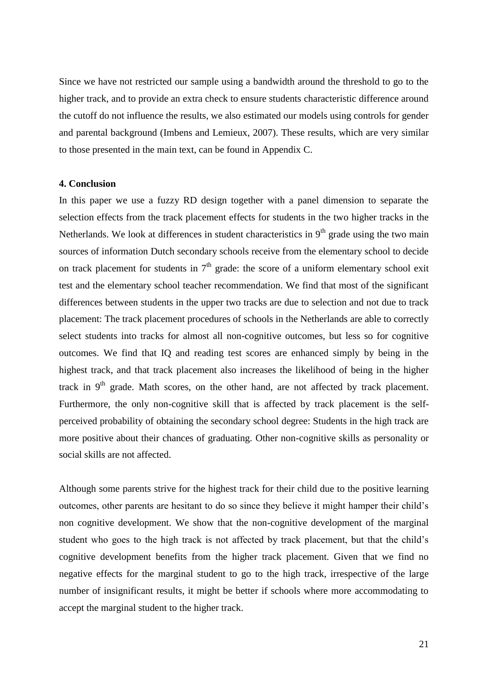Since we have not restricted our sample using a bandwidth around the threshold to go to the higher track, and to provide an extra check to ensure students characteristic difference around the cutoff do not influence the results, we also estimated our models using controls for gender and parental background (Imbens and Lemieux, 2007). These results, which are very similar to those presented in the main text, can be found in Appendix C.

#### **4. Conclusion**

In this paper we use a fuzzy RD design together with a panel dimension to separate the selection effects from the track placement effects for students in the two higher tracks in the Netherlands. We look at differences in student characteristics in  $9<sup>th</sup>$  grade using the two main sources of information Dutch secondary schools receive from the elementary school to decide on track placement for students in  $7<sup>th</sup>$  grade: the score of a uniform elementary school exit test and the elementary school teacher recommendation. We find that most of the significant differences between students in the upper two tracks are due to selection and not due to track placement: The track placement procedures of schools in the Netherlands are able to correctly select students into tracks for almost all non-cognitive outcomes, but less so for cognitive outcomes. We find that IQ and reading test scores are enhanced simply by being in the highest track, and that track placement also increases the likelihood of being in the higher track in  $9<sup>th</sup>$  grade. Math scores, on the other hand, are not affected by track placement. Furthermore, the only non-cognitive skill that is affected by track placement is the selfperceived probability of obtaining the secondary school degree: Students in the high track are more positive about their chances of graduating. Other non-cognitive skills as personality or social skills are not affected.

Although some parents strive for the highest track for their child due to the positive learning outcomes, other parents are hesitant to do so since they believe it might hamper their child's non cognitive development. We show that the non-cognitive development of the marginal student who goes to the high track is not affected by track placement, but that the child's cognitive development benefits from the higher track placement. Given that we find no negative effects for the marginal student to go to the high track, irrespective of the large number of insignificant results, it might be better if schools where more accommodating to accept the marginal student to the higher track.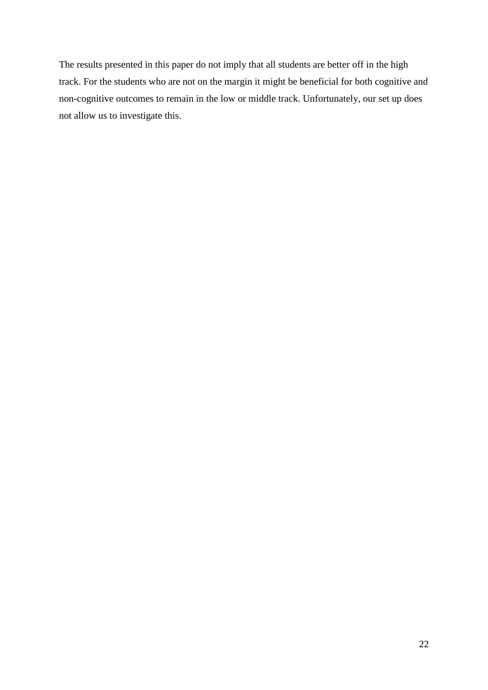The results presented in this paper do not imply that all students are better off in the high track. For the students who are not on the margin it might be beneficial for both cognitive and non-cognitive outcomes to remain in the low or middle track. Unfortunately, our set up does not allow us to investigate this.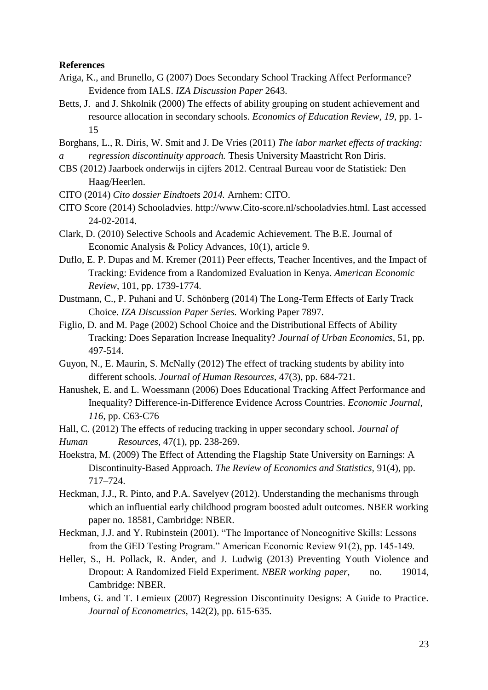#### **References**

- Ariga, K., and Brunello, G (2007) Does Secondary School Tracking Affect Performance? Evidence from IALS. *IZA Discussion Paper* 2643.
- Betts, J. and J. Shkolnik (2000) The effects of ability grouping on student achievement and resource allocation in secondary schools. *Economics of Education Review, 19*, pp. 1- 15

Borghans, L., R. Diris, W. Smit and J. De Vries (2011) *The labor market effects of tracking: a regression discontinuity approach.* Thesis University Maastricht Ron Diris.

- CBS (2012) Jaarboek onderwijs in cijfers 2012. Centraal Bureau voor de Statistiek: Den Haag/Heerlen.
- CITO (2014) *Cito dossier Eindtoets 2014.* Arnhem: CITO.
- CITO Score (2014) Schooladvies. http://www.Cito-score.nl/schooladvies.html. Last accessed 24-02-2014.
- Clark, D. (2010) Selective Schools and Academic Achievement. The B.E. Journal of Economic Analysis & Policy Advances, 10(1), article 9.
- Duflo, E. P. Dupas and M. Kremer (2011) Peer effects, Teacher Incentives, and the Impact of Tracking: Evidence from a Randomized Evaluation in Kenya. *American Economic Review*, 101, pp. 1739-1774.
- Dustmann, C., P. Puhani and U. Schönberg (2014) The Long-Term Effects of Early Track Choice. *IZA Discussion Paper Series.* Working Paper 7897.
- Figlio, D. and M. Page (2002) School Choice and the Distributional Effects of Ability Tracking: Does Separation Increase Inequality? *Journal of Urban Economics*, 51, pp. 497-514.
- Guyon, N., E. Maurin, S. McNally (2012) The effect of tracking students by ability into different schools. *Journal of Human Resources*, 47(3), pp. 684-721.
- Hanushek, E. and L. Woessmann (2006) Does Educational Tracking Affect Performance and Inequality? Difference-in-Difference Evidence Across Countries. *Economic Journal, 116*, pp. C63-C76
- Hall, C. (2012) The effects of reducing tracking in upper secondary school. *Journal of Human Resources*, 47(1), pp. 238-269.
- Hoekstra, M. (2009) The Effect of Attending the Flagship State University on Earnings: A Discontinuity-Based Approach. *The Review of Economics and Statistics,* 91(4), pp. 717–724.
- Heckman, J.J., R. Pinto, and P.A. Savelyev (2012). Understanding the mechanisms through which an influential early childhood program boosted adult outcomes. NBER working paper no. 18581, Cambridge: NBER.
- Heckman, J.J. and Y. Rubinstein (2001). "The Importance of Noncognitive Skills: Lessons from the GED Testing Program." American Economic Review 91(2), pp. 145-149.
- Heller, S., H. Pollack, R. Ander, and J. Ludwig (2013) Preventing Youth Violence and Dropout: A Randomized Field Experiment. *NBER working paper,* no. 19014, Cambridge: NBER.
- Imbens, G. and T. Lemieux (2007) Regression Discontinuity Designs: A Guide to Practice. *Journal of Econometrics*, 142(2), pp. 615-635.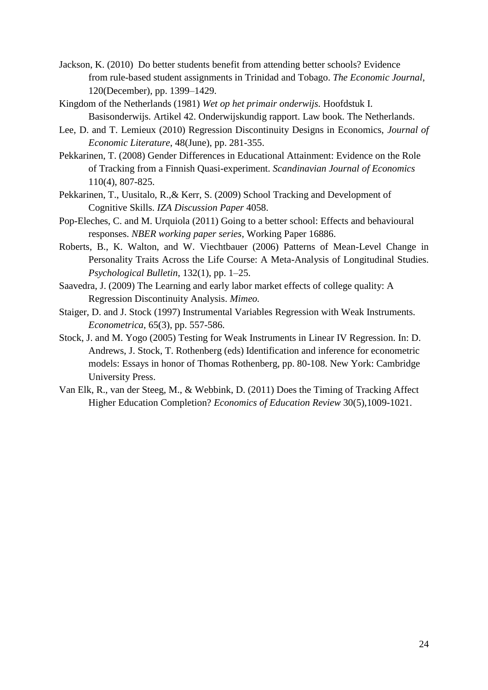- Jackson, K. (2010) Do better students benefit from attending better schools? Evidence from rule-based student assignments in Trinidad and Tobago. *The Economic Journal*, 120(December), pp. 1399–1429.
- Kingdom of the Netherlands (1981) *Wet op het primair onderwijs.* Hoofdstuk I. Basisonderwijs. Artikel 42. Onderwijskundig rapport. Law book. The Netherlands.
- Lee, D. and T. Lemieux (2010) Regression Discontinuity Designs in Economics, *Journal of Economic Literature*, 48(June), pp. 281-355.
- Pekkarinen, T. (2008) Gender Differences in Educational Attainment: Evidence on the Role of Tracking from a Finnish Quasi-experiment. *Scandinavian Journal of Economics* 110(4), 807-825.
- Pekkarinen, T., Uusitalo, R.,& Kerr, S. (2009) School Tracking and Development of Cognitive Skills. *IZA Discussion Paper* 4058.
- Pop-Eleches, C. and M. Urquiola (2011) Going to a better school: Effects and behavioural responses. *NBER working paper series*, Working Paper 16886.
- Roberts, B., K. Walton, and W. Viechtbauer (2006) Patterns of Mean-Level Change in Personality Traits Across the Life Course: A Meta-Analysis of Longitudinal Studies. *Psychological Bulletin*, 132(1), pp. 1–25.
- Saavedra, J. (2009) The Learning and early labor market effects of college quality: A Regression Discontinuity Analysis. *Mimeo.*
- Staiger, D. and J. Stock (1997) Instrumental Variables Regression with Weak Instruments. *Econometrica*, 65(3), pp. 557-586.
- Stock, J. and M. Yogo (2005) Testing for Weak Instruments in Linear IV Regression. In: D. Andrews, J. Stock, T. Rothenberg (eds) Identification and inference for econometric models: Essays in honor of Thomas Rothenberg, pp. 80-108. New York: Cambridge University Press.
- Van Elk, R., van der Steeg, M., & Webbink, D. (2011) Does the Timing of Tracking Affect Higher Education Completion? *Economics of Education Review* 30(5),1009-1021.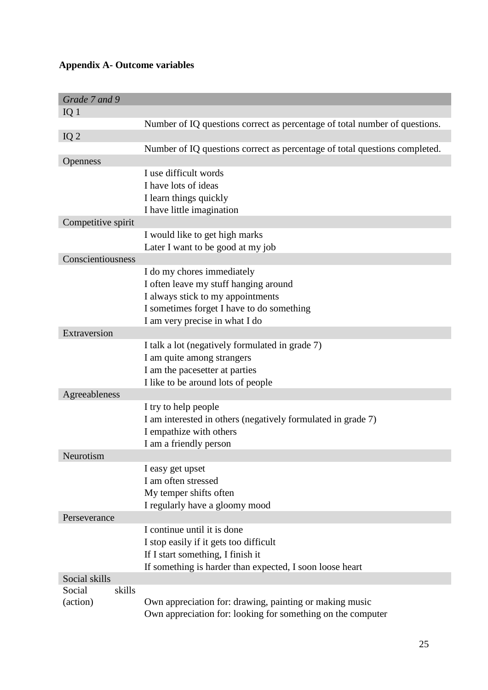## **Appendix A- Outcome variables**

| Grade 7 and 9      |                                                                            |
|--------------------|----------------------------------------------------------------------------|
| IQ <sub>1</sub>    |                                                                            |
|                    | Number of IQ questions correct as percentage of total number of questions. |
| IQ $2$             |                                                                            |
|                    | Number of IQ questions correct as percentage of total questions completed. |
| <b>Openness</b>    |                                                                            |
|                    | I use difficult words                                                      |
|                    | I have lots of ideas                                                       |
|                    | I learn things quickly                                                     |
|                    | I have little imagination                                                  |
| Competitive spirit |                                                                            |
|                    | I would like to get high marks                                             |
|                    | Later I want to be good at my job                                          |
| Conscientiousness  |                                                                            |
|                    | I do my chores immediately                                                 |
|                    | I often leave my stuff hanging around                                      |
|                    | I always stick to my appointments                                          |
|                    | I sometimes forget I have to do something                                  |
|                    | I am very precise in what I do                                             |
| Extraversion       |                                                                            |
|                    | I talk a lot (negatively formulated in grade 7)                            |
|                    | I am quite among strangers                                                 |
|                    | I am the pacesetter at parties                                             |
| Agreeableness      | I like to be around lots of people                                         |
|                    | I try to help people                                                       |
|                    | I am interested in others (negatively formulated in grade 7)               |
|                    | I empathize with others                                                    |
|                    | I am a friendly person                                                     |
| Neurotism          |                                                                            |
|                    | I easy get upset                                                           |
|                    | I am often stressed                                                        |
|                    | My temper shifts often                                                     |
|                    | I regularly have a gloomy mood                                             |
| Perseverance       |                                                                            |
|                    | I continue until it is done                                                |
|                    | I stop easily if it gets too difficult                                     |
|                    | If I start something, I finish it                                          |
|                    | If something is harder than expected, I soon loose heart                   |
| Social skills      |                                                                            |
| skills<br>Social   |                                                                            |
| (action)           | Own appreciation for: drawing, painting or making music                    |
|                    | Own appreciation for: looking for something on the computer                |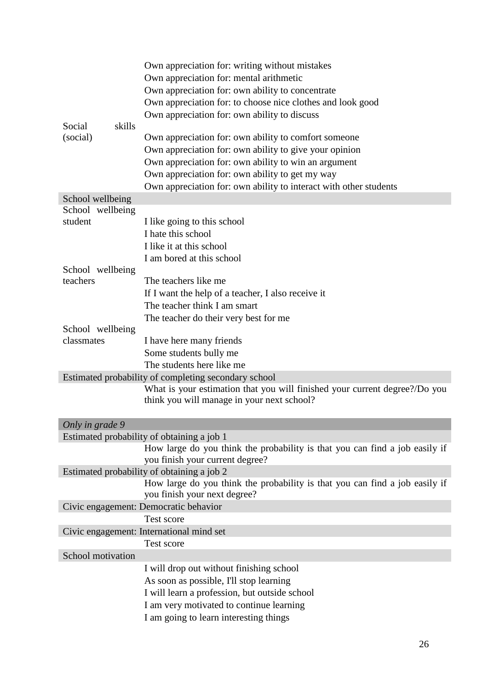|                              | Own appreciation for: writing without mistakes<br>Own appreciation for: mental arithmetic<br>Own appreciation for: own ability to concentrate<br>Own appreciation for: to choose nice clothes and look good<br>Own appreciation for: own ability to discuss |  |  |  |  |  |  |  |  |  |
|------------------------------|-------------------------------------------------------------------------------------------------------------------------------------------------------------------------------------------------------------------------------------------------------------|--|--|--|--|--|--|--|--|--|
| skills<br>Social<br>(social) | Own appreciation for: own ability to comfort someone<br>Own appreciation for: own ability to give your opinion                                                                                                                                              |  |  |  |  |  |  |  |  |  |
|                              | Own appreciation for: own ability to win an argument<br>Own appreciation for: own ability to get my way<br>Own appreciation for: own ability to interact with other students                                                                                |  |  |  |  |  |  |  |  |  |
| School wellbeing             |                                                                                                                                                                                                                                                             |  |  |  |  |  |  |  |  |  |
| School wellbeing             |                                                                                                                                                                                                                                                             |  |  |  |  |  |  |  |  |  |
| student                      | I like going to this school                                                                                                                                                                                                                                 |  |  |  |  |  |  |  |  |  |
|                              | I hate this school                                                                                                                                                                                                                                          |  |  |  |  |  |  |  |  |  |
|                              | I like it at this school                                                                                                                                                                                                                                    |  |  |  |  |  |  |  |  |  |
|                              | I am bored at this school                                                                                                                                                                                                                                   |  |  |  |  |  |  |  |  |  |
| School wellbeing             |                                                                                                                                                                                                                                                             |  |  |  |  |  |  |  |  |  |
| teachers                     | The teachers like me                                                                                                                                                                                                                                        |  |  |  |  |  |  |  |  |  |
|                              | If I want the help of a teacher, I also receive it                                                                                                                                                                                                          |  |  |  |  |  |  |  |  |  |
|                              | The teacher think I am smart                                                                                                                                                                                                                                |  |  |  |  |  |  |  |  |  |
|                              | The teacher do their very best for me                                                                                                                                                                                                                       |  |  |  |  |  |  |  |  |  |
| School wellbeing             |                                                                                                                                                                                                                                                             |  |  |  |  |  |  |  |  |  |
| classmates                   | I have here many friends                                                                                                                                                                                                                                    |  |  |  |  |  |  |  |  |  |
|                              | Some students bully me                                                                                                                                                                                                                                      |  |  |  |  |  |  |  |  |  |
|                              | The students here like me                                                                                                                                                                                                                                   |  |  |  |  |  |  |  |  |  |
|                              | Estimated probability of completing secondary school                                                                                                                                                                                                        |  |  |  |  |  |  |  |  |  |
|                              | What is your estimation that you will finished your current degree?/Do you                                                                                                                                                                                  |  |  |  |  |  |  |  |  |  |
|                              | think you will manage in your next school?                                                                                                                                                                                                                  |  |  |  |  |  |  |  |  |  |
| Only in grade 9              |                                                                                                                                                                                                                                                             |  |  |  |  |  |  |  |  |  |
|                              | Estimated probability of obtaining a job 1                                                                                                                                                                                                                  |  |  |  |  |  |  |  |  |  |
|                              | How large do you think the probability is that you can find a job easily if                                                                                                                                                                                 |  |  |  |  |  |  |  |  |  |
|                              | you finish your current degree?                                                                                                                                                                                                                             |  |  |  |  |  |  |  |  |  |
|                              | Estimated probability of obtaining a job 2                                                                                                                                                                                                                  |  |  |  |  |  |  |  |  |  |
|                              | How large do you think the probability is that you can find a job easily if<br>you finish your next degree?                                                                                                                                                 |  |  |  |  |  |  |  |  |  |
|                              | Civic engagement: Democratic behavior                                                                                                                                                                                                                       |  |  |  |  |  |  |  |  |  |
|                              | Test score                                                                                                                                                                                                                                                  |  |  |  |  |  |  |  |  |  |
|                              | Civic engagement: International mind set                                                                                                                                                                                                                    |  |  |  |  |  |  |  |  |  |
|                              | Test score                                                                                                                                                                                                                                                  |  |  |  |  |  |  |  |  |  |
| School motivation            |                                                                                                                                                                                                                                                             |  |  |  |  |  |  |  |  |  |
|                              | I will drop out without finishing school                                                                                                                                                                                                                    |  |  |  |  |  |  |  |  |  |
|                              | As soon as possible, I'll stop learning                                                                                                                                                                                                                     |  |  |  |  |  |  |  |  |  |
|                              | I will learn a profession, but outside school                                                                                                                                                                                                               |  |  |  |  |  |  |  |  |  |
|                              | I am very motivated to continue learning                                                                                                                                                                                                                    |  |  |  |  |  |  |  |  |  |
|                              | I am going to learn interesting things                                                                                                                                                                                                                      |  |  |  |  |  |  |  |  |  |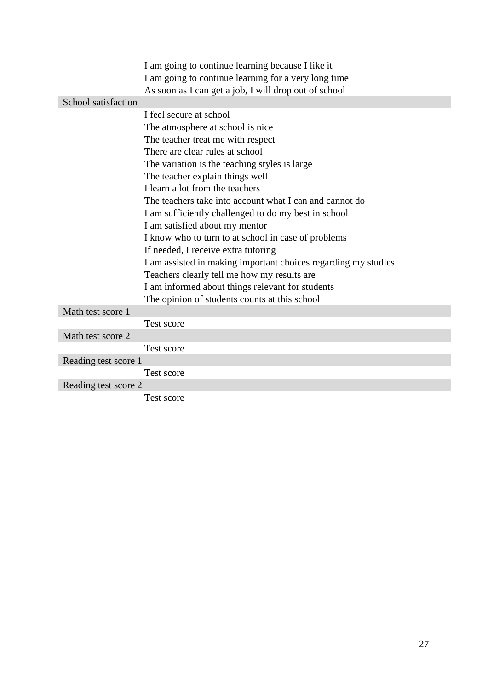|                      | I am going to continue learning because I like it              |
|----------------------|----------------------------------------------------------------|
|                      | I am going to continue learning for a very long time           |
|                      | As soon as I can get a job, I will drop out of school          |
| School satisfaction  |                                                                |
|                      | I feel secure at school                                        |
|                      | The atmosphere at school is nice                               |
|                      | The teacher treat me with respect                              |
|                      | There are clear rules at school                                |
|                      | The variation is the teaching styles is large                  |
|                      | The teacher explain things well                                |
|                      | I learn a lot from the teachers                                |
|                      | The teachers take into account what I can and cannot do        |
|                      | I am sufficiently challenged to do my best in school           |
|                      | I am satisfied about my mentor                                 |
|                      | I know who to turn to at school in case of problems            |
|                      | If needed, I receive extra tutoring                            |
|                      | I am assisted in making important choices regarding my studies |
|                      | Teachers clearly tell me how my results are                    |
|                      | I am informed about things relevant for students               |
|                      | The opinion of students counts at this school                  |
| Math test score 1    |                                                                |
|                      | Test score                                                     |
| Math test score 2    |                                                                |
|                      | Test score                                                     |
| Reading test score 1 |                                                                |
|                      | Test score                                                     |
| Reading test score 2 |                                                                |
|                      | Test score                                                     |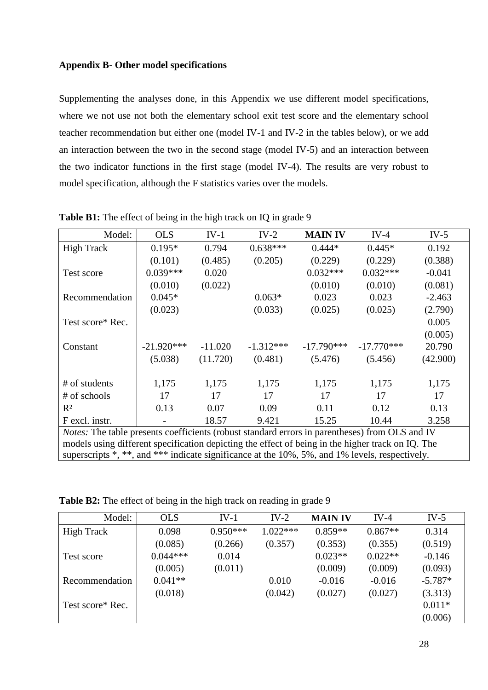#### **Appendix B- Other model specifications**

Supplementing the analyses done, in this Appendix we use different model specifications, where we not use not both the elementary school exit test score and the elementary school teacher recommendation but either one (model IV-1 and IV-2 in the tables below), or we add an interaction between the two in the second stage (model IV-5) and an interaction between the two indicator functions in the first stage (model IV-4). The results are very robust to model specification, although the F statistics varies over the models.

| Model:                                                                                            | <b>OLS</b>          | $IV-1$    | $IV-2$      | <b>MAIN IV</b> | $IV-4$       | IV-5     |
|---------------------------------------------------------------------------------------------------|---------------------|-----------|-------------|----------------|--------------|----------|
| <b>High Track</b>                                                                                 | $0.195*$            | 0.794     | $0.638***$  | $0.444*$       | $0.445*$     | 0.192    |
|                                                                                                   | (0.101)             | (0.485)   | (0.205)     | (0.229)        | (0.229)      | (0.388)  |
| Test score                                                                                        | $0.039***$          | 0.020     |             | $0.032***$     | $0.032***$   | $-0.041$ |
|                                                                                                   | (0.010)             | (0.022)   |             | (0.010)        | (0.010)      | (0.081)  |
| Recommendation                                                                                    | $0.045*$            |           | $0.063*$    | 0.023          | 0.023        | $-2.463$ |
|                                                                                                   | (0.023)             |           | (0.033)     | (0.025)        | (0.025)      | (2.790)  |
| Test score* Rec.                                                                                  |                     |           |             |                |              | 0.005    |
|                                                                                                   |                     |           |             |                |              | (0.005)  |
| Constant                                                                                          | $-21.920***$        | $-11.020$ | $-1.312***$ | $-17.790***$   | $-17.770***$ | 20.790   |
|                                                                                                   | (11.720)<br>(5.038) |           | (0.481)     | (5.476)        | (5.456)      | (42.900) |
|                                                                                                   |                     |           |             |                |              |          |
| # of students                                                                                     | 1,175               | 1,175     | 1,175       | 1,175          | 1,175        | 1,175    |
| # of schools                                                                                      | 17                  | 17        | 17          | 17             | 17           | 17       |
| $R^2$                                                                                             | 0.13                | 0.07      | 0.09        | 0.11           | 0.12         | 0.13     |
| F excl. instr.                                                                                    |                     | 18.57     | 9.421       | 15.25          | 10.44        | 3.258    |
| Notes: The table presents coefficients (robust standard errors in parentheses) from OLS and IV    |                     |           |             |                |              |          |
| models using different specification depicting the effect of being in the higher track on IQ. The |                     |           |             |                |              |          |
| superscripts *, **, and *** indicate significance at the 10%, 5%, and 1% levels, respectively.    |                     |           |             |                |              |          |

**Table B1:** The effect of being in the high track on IQ in grade 9

**Table B2:** The effect of being in the high track on reading in grade 9

| Model:            | <b>OLS</b> | $IV-1$     | $IV-2$     | <b>MAIN IV</b> | $IV-4$    | IV-5      |
|-------------------|------------|------------|------------|----------------|-----------|-----------|
| <b>High Track</b> | 0.098      | $0.950***$ | $1.022***$ | $0.859**$      | $0.867**$ | 0.314     |
|                   | (0.085)    | (0.266)    | (0.357)    | (0.353)        | (0.355)   | (0.519)   |
| Test score        | $0.044***$ | 0.014      |            | $0.023**$      | $0.022**$ | $-0.146$  |
|                   | (0.005)    | (0.011)    |            | (0.009)        | (0.009)   | (0.093)   |
| Recommendation    | $0.041**$  |            | 0.010      | $-0.016$       | $-0.016$  | $-5.787*$ |
|                   | (0.018)    |            | (0.042)    | (0.027)        | (0.027)   | (3.313)   |
| Test score* Rec.  |            |            |            |                |           | $0.011*$  |
|                   |            |            |            |                |           | (0.006)   |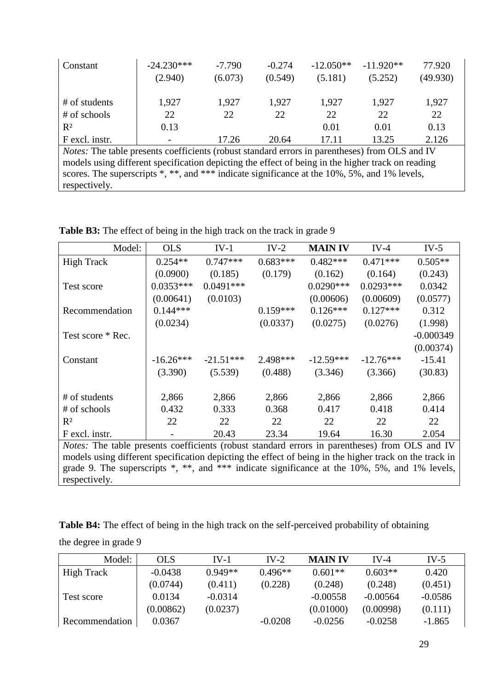| Constant                                                                                              | $-24.230***$<br>(2.940) | $-7.790$<br>(6.073) | $-0.274$<br>(0.549) | $-12.050**$<br>(5.181) | $-11.920**$<br>(5.252) | 77.920<br>(49.930) |  |  |  |  |
|-------------------------------------------------------------------------------------------------------|-------------------------|---------------------|---------------------|------------------------|------------------------|--------------------|--|--|--|--|
| # of students                                                                                         | 1,927                   | 1,927               | 1,927               | 1,927                  | 1,927                  | 1,927              |  |  |  |  |
| $#$ of schools                                                                                        | 22                      | 22                  | 22                  | 22                     | 22                     | 22                 |  |  |  |  |
| $R^2$                                                                                                 | 0.13                    |                     |                     | 0.01                   | 0.01                   | 0.13               |  |  |  |  |
| F excl. instr.                                                                                        |                         | 17.26               | 20.64               | 17.11                  | 13.25                  | 2.126              |  |  |  |  |
| <i>Notes:</i> The table presents coefficients (robust standard errors in parentheses) from OLS and IV |                         |                     |                     |                        |                        |                    |  |  |  |  |
| models using different specification depicting the effect of being in the higher track on reading     |                         |                     |                     |                        |                        |                    |  |  |  |  |
| scores. The superscripts *, **, and *** indicate significance at the 10%, 5%, and 1% levels,          |                         |                     |                     |                        |                        |                    |  |  |  |  |
| respectively.                                                                                         |                         |                     |                     |                        |                        |                    |  |  |  |  |

Table B3: The effect of being in the high track on the track in grade 9

| Model:                                                                                                 | <b>OLS</b>  | $IV-1$      | $IV-2$     | <b>MAIN IV</b> | $IV-4$      | $IV-5$      |
|--------------------------------------------------------------------------------------------------------|-------------|-------------|------------|----------------|-------------|-------------|
| <b>High Track</b>                                                                                      | $0.254**$   | $0.747***$  | $0.683***$ | $0.482***$     | $0.471***$  | $0.505**$   |
|                                                                                                        | (0.0900)    | (0.185)     | (0.179)    | (0.162)        | (0.164)     | (0.243)     |
| Test score                                                                                             | $0.0353***$ | $0.0491***$ |            | $0.0290***$    | $0.0293***$ | 0.0342      |
|                                                                                                        | (0.00641)   | (0.0103)    |            | (0.00606)      | (0.00609)   | (0.0577)    |
| Recommendation                                                                                         | $0.144***$  |             | $0.159***$ | $0.126***$     | $0.127***$  | 0.312       |
|                                                                                                        | (0.0234)    |             | (0.0337)   | (0.0275)       | (0.0276)    | (1.998)     |
| Test score * Rec.                                                                                      |             |             |            |                |             | $-0.000349$ |
|                                                                                                        |             |             |            |                |             | (0.00374)   |
| Constant                                                                                               | $-16.26***$ | $-21.51***$ | 2.498***   | $-12.59***$    | $-12.76***$ | $-15.41$    |
|                                                                                                        | (3.390)     | (5.539)     | (0.488)    | (3.346)        | (3.366)     | (30.83)     |
|                                                                                                        |             |             |            |                |             |             |
| # of students                                                                                          | 2,866       | 2,866       | 2,866      | 2,866          | 2,866       | 2,866       |
| # of schools                                                                                           | 0.432       | 0.333       | 0.368      | 0.417          | 0.418       | 0.414       |
| $R^2$                                                                                                  | 22          | 22          | 22         | 22             | 22          | 22          |
| F excl. instr.                                                                                         |             | 20.43       | 23.34      | 19.64          | 16.30       | 2.054       |
| <i>Notes:</i> The table presents coefficients (robust standard errors in parentheses) from OLS and IV  |             |             |            |                |             |             |
| models using different specification depicting the effect of being in the higher track on the track in |             |             |            |                |             |             |
| grade 9. The superscripts $*$ , $**$ , and $***$ indicate significance at the 10%, 5%, and 1% levels,  |             |             |            |                |             |             |

respectively.

**Table B4:** The effect of being in the high track on the self-perceived probability of obtaining the degree in grade 9

| Model:         | <b>OLS</b> | $IV-1$    | $IV-2$    | <b>MAIN IV</b> | $IV-4$     | IV-5      |
|----------------|------------|-----------|-----------|----------------|------------|-----------|
| High Track     | $-0.0438$  | $0.949**$ | $0.496**$ | $0.601**$      | $0.603**$  | 0.420     |
|                | (0.0744)   | (0.411)   | (0.228)   | (0.248)        | (0.248)    | (0.451)   |
| Test score     | 0.0134     | $-0.0314$ |           | $-0.00558$     | $-0.00564$ | $-0.0586$ |
|                | (0.00862)  | (0.0237)  |           | (0.01000)      | (0.00998)  | (0.111)   |
| Recommendation | 0.0367     |           | $-0.0208$ | $-0.0256$      | $-0.0258$  | $-1.865$  |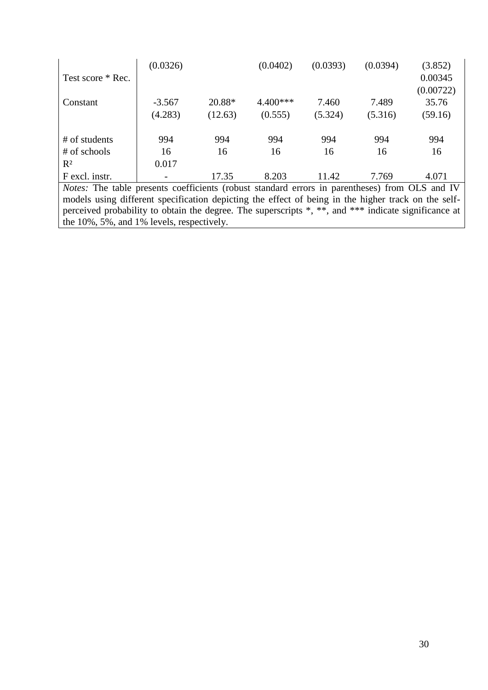| Test score * Rec.                                                                                     | (0.0326) |         | (0.0402)   | (0.0393) | (0.0394) | (3.852)<br>0.00345<br>(0.00722) |  |  |  |  |
|-------------------------------------------------------------------------------------------------------|----------|---------|------------|----------|----------|---------------------------------|--|--|--|--|
| Constant                                                                                              | $-3.567$ | 20.88*  | $4.400***$ | 7.460    | 7.489    | 35.76                           |  |  |  |  |
|                                                                                                       | (4.283)  | (12.63) | (0.555)    | (5.324)  | (5.316)  | (59.16)                         |  |  |  |  |
|                                                                                                       |          |         |            |          |          |                                 |  |  |  |  |
| # of students                                                                                         | 994      | 994     | 994        | 994      | 994      | 994                             |  |  |  |  |
| # of schools                                                                                          | 16       | 16      | 16         | 16       | 16       | 16                              |  |  |  |  |
| $R^2$                                                                                                 | 0.017    |         |            |          |          |                                 |  |  |  |  |
| F excl. instr.                                                                                        |          | 17.35   | 8.203      | 11.42    | 7.769    | 4.071                           |  |  |  |  |
| <i>Notes:</i> The table presents coefficients (robust standard errors in parentheses) from OLS and IV |          |         |            |          |          |                                 |  |  |  |  |
| models using different specification depicting the effect of being in the higher track on the self-   |          |         |            |          |          |                                 |  |  |  |  |
| perceived probability to obtain the degree. The superscripts *, **, and *** indicate significance at  |          |         |            |          |          |                                 |  |  |  |  |
| the $10\%$ , 5%, and 1% levels, respectively.                                                         |          |         |            |          |          |                                 |  |  |  |  |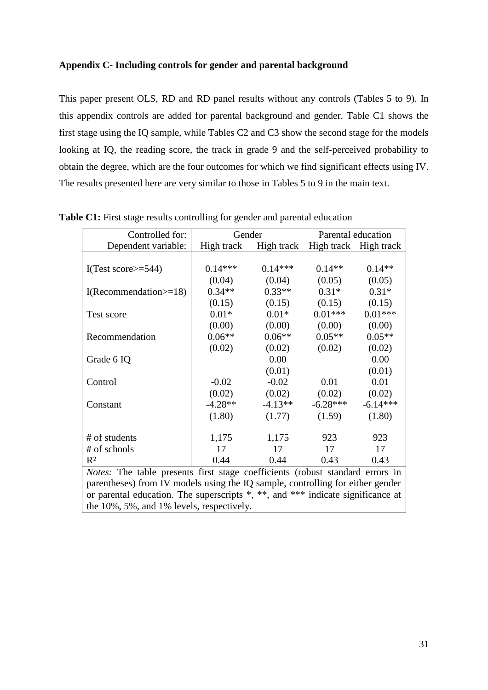#### **Appendix C- Including controls for gender and parental background**

This paper present OLS, RD and RD panel results without any controls (Tables 5 to 9). In this appendix controls are added for parental background and gender. Table C1 shows the first stage using the IQ sample, while Tables C2 and C3 show the second stage for the models looking at IQ, the reading score, the track in grade 9 and the self-perceived probability to obtain the degree, which are the four outcomes for which we find significant effects using IV. The results presented here are very similar to those in Tables 5 to 9 in the main text.

| Controlled for:                                                                 | Gender     |           |                                  | Parental education |
|---------------------------------------------------------------------------------|------------|-----------|----------------------------------|--------------------|
| Dependent variable:                                                             | High track |           | High track High track High track |                    |
|                                                                                 |            |           |                                  |                    |
| I(Test score $\ge$ =544)                                                        | $0.14***$  | $0.14***$ | $0.14**$                         | $0.14**$           |
|                                                                                 | (0.04)     | (0.04)    | (0.05)                           | (0.05)             |
| $I(Recommendation=18)$                                                          | $0.34**$   | $0.33**$  | $0.31*$                          | $0.31*$            |
|                                                                                 | (0.15)     | (0.15)    | (0.15)                           | (0.15)             |
| Test score                                                                      | $0.01*$    | $0.01*$   | $0.01***$                        | $0.01***$          |
|                                                                                 | (0.00)     | (0.00)    | (0.00)                           | (0.00)             |
| Recommendation                                                                  | $0.06**$   | $0.06**$  | $0.05**$                         | $0.05**$           |
|                                                                                 | (0.02)     | (0.02)    | (0.02)                           | (0.02)             |
| Grade 6 IQ                                                                      |            | 0.00      |                                  | 0.00               |
|                                                                                 |            | (0.01)    |                                  | (0.01)             |
| Control                                                                         | $-0.02$    | $-0.02$   | 0.01                             | 0.01               |
|                                                                                 | (0.02)     | (0.02)    | (0.02)                           | (0.02)             |
| Constant                                                                        | $-4.28**$  | $-4.13**$ | $-6.28***$                       | $-6.14***$         |
|                                                                                 | (1.80)     | (1.77)    | (1.59)                           | (1.80)             |
|                                                                                 |            |           |                                  |                    |
| # of students                                                                   | 1,175      | 1,175     | 923                              | 923                |
| # of schools                                                                    | 17         | 17        | 17                               | 17                 |
| $R^2$                                                                           | 0.44       | 0.44      | 0.43                             | 0.43               |
| Notes: The table presents first stage coefficients (robust standard errors in   |            |           |                                  |                    |
| parentheses) from IV models using the IQ sample, controlling for either gender  |            |           |                                  |                    |
| or parental education. The superscripts *, **, and *** indicate significance at |            |           |                                  |                    |

**Table C1:** First stage results controlling for gender and parental education

the 10%, 5%, and 1% levels, respectively.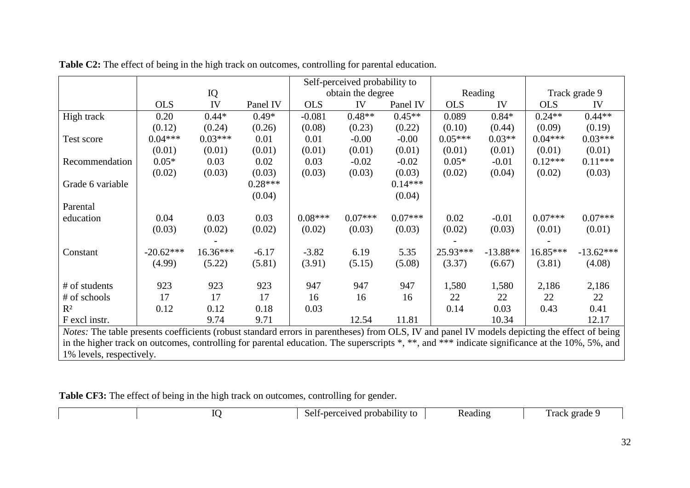|                                                                                                                                                |             |           |           | Self-perceived probability to |                   |           |            |            |            |               |
|------------------------------------------------------------------------------------------------------------------------------------------------|-------------|-----------|-----------|-------------------------------|-------------------|-----------|------------|------------|------------|---------------|
|                                                                                                                                                |             | IQ        |           |                               | obtain the degree |           |            | Reading    |            | Track grade 9 |
|                                                                                                                                                | <b>OLS</b>  | IV        | Panel IV  | <b>OLS</b>                    | IV                | Panel IV  | <b>OLS</b> | IV         | <b>OLS</b> | IV            |
| High track                                                                                                                                     | 0.20        | $0.44*$   | $0.49*$   | $-0.081$                      | $0.48**$          | $0.45**$  | 0.089      | $0.84*$    | $0.24**$   | $0.44**$      |
|                                                                                                                                                | (0.12)      | (0.24)    | (0.26)    | (0.08)                        | (0.23)            | (0.22)    | (0.10)     | (0.44)     | (0.09)     | (0.19)        |
| Test score                                                                                                                                     | $0.04***$   | $0.03***$ | 0.01      | 0.01                          | $-0.00$           | $-0.00$   | $0.05***$  | $0.03**$   | $0.04***$  | $0.03***$     |
|                                                                                                                                                | (0.01)      | (0.01)    | (0.01)    | (0.01)                        | (0.01)            | (0.01)    | (0.01)     | (0.01)     | (0.01)     | (0.01)        |
| Recommendation                                                                                                                                 | $0.05*$     | 0.03      | 0.02      | 0.03                          | $-0.02$           | $-0.02$   | $0.05*$    | $-0.01$    | $0.12***$  | $0.11***$     |
|                                                                                                                                                | (0.02)      | (0.03)    | (0.03)    | (0.03)                        | (0.03)            | (0.03)    | (0.02)     | (0.04)     | (0.02)     | (0.03)        |
| Grade 6 variable                                                                                                                               |             |           | $0.28***$ |                               |                   | $0.14***$ |            |            |            |               |
|                                                                                                                                                |             |           | (0.04)    |                               |                   | (0.04)    |            |            |            |               |
| Parental                                                                                                                                       |             |           |           |                               |                   |           |            |            |            |               |
| education                                                                                                                                      | 0.04        | 0.03      | 0.03      | $0.08***$                     | $0.07***$         | $0.07***$ | 0.02       | $-0.01$    | $0.07***$  | $0.07***$     |
|                                                                                                                                                | (0.03)      | (0.02)    | (0.02)    | (0.02)                        | (0.03)            | (0.03)    | (0.02)     | (0.03)     | (0.01)     | (0.01)        |
|                                                                                                                                                |             |           |           |                               |                   |           |            |            |            |               |
| Constant                                                                                                                                       | $-20.62***$ | 16.36***  | $-6.17$   | $-3.82$                       | 6.19              | 5.35      | 25.93***   | $-13.88**$ | 16.85***   | $-13.62***$   |
|                                                                                                                                                | (4.99)      | (5.22)    | (5.81)    | (3.91)                        | (5.15)            | (5.08)    | (3.37)     | (6.67)     | (3.81)     | (4.08)        |
|                                                                                                                                                |             |           |           |                               |                   |           |            |            |            |               |
| # of students                                                                                                                                  | 923         | 923       | 923       | 947                           | 947               | 947       | 1,580      | 1,580      | 2,186      | 2,186         |
| # of schools                                                                                                                                   | 17          | 17        | 17        | 16                            | 16                | 16        | 22         | 22         | 22         | 22            |
| $R^2$                                                                                                                                          | 0.12        | 0.12      | 0.18      | 0.03                          |                   |           | 0.14       | 0.03       | 0.43       | 0.41          |
| F excl instr.                                                                                                                                  |             | 9.74      | 9.71      |                               | 12.54             | 11.81     |            | 10.34      |            | 12.17         |
| Notes: The table presents coefficients (robust standard errors in parentheses) from OLS, IV and panel IV models depicting the effect of being  |             |           |           |                               |                   |           |            |            |            |               |
| in the higher track on outcomes, controlling for parental education. The superscripts *, **, and *** indicate significance at the 10%, 5%, and |             |           |           |                               |                   |           |            |            |            |               |
| 1% levels, respectively.                                                                                                                       |             |           |           |                               |                   |           |            |            |            |               |

|  |  |  |  |  |  |  |  |  |  |  | Table C2: The effect of being in the high track on outcomes, controlling for parental education. |  |  |  |  |  |
|--|--|--|--|--|--|--|--|--|--|--|--------------------------------------------------------------------------------------------------|--|--|--|--|--|
|--|--|--|--|--|--|--|--|--|--|--|--------------------------------------------------------------------------------------------------|--|--|--|--|--|

**Table CF3:** The effect of being in the high track on outcomes, controlling for gender.

|  | $\cdot$ .<br>Self-perceived probability to | Keadıng | Track grade 5 |
|--|--------------------------------------------|---------|---------------|
|  |                                            |         |               |